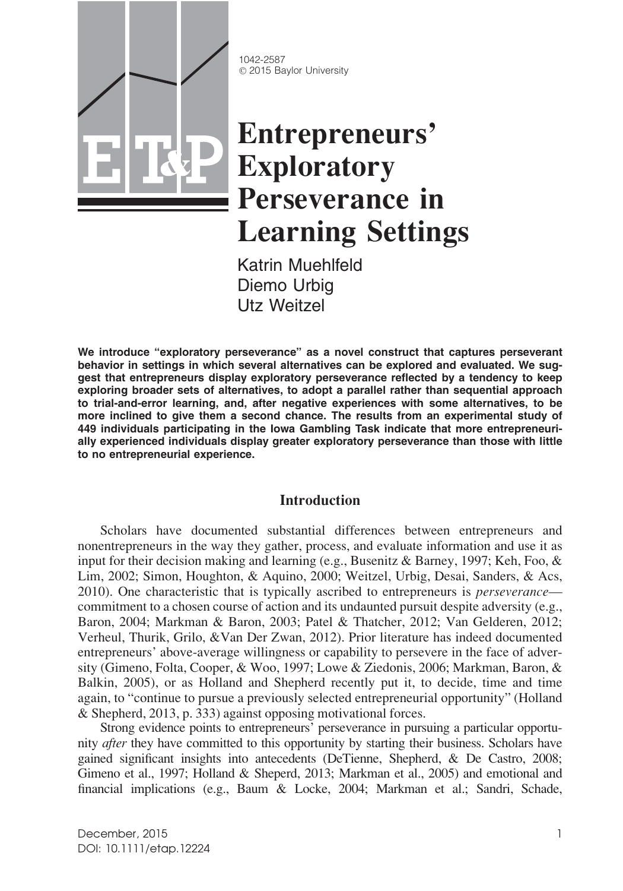

Katrin Muehlfeld Diemo Urbig Utz Weitzel

We introduce "exploratory perseverance" as a novel construct that captures perseverant behavior in settings in which several alternatives can be explored and evaluated. We suggest that entrepreneurs display exploratory perseverance reflected by a tendency to keep exploring broader sets of alternatives, to adopt a parallel rather than sequential approach to trial-and-error learning, and, after negative experiences with some alternatives, to be more inclined to give them a second chance. The results from an experimental study of 449 individuals participating in the Iowa Gambling Task indicate that more entrepreneurially experienced individuals display greater exploratory perseverance than those with little to no entrepreneurial experience.

## Introduction

Scholars have documented substantial differences between entrepreneurs and nonentrepreneurs in the way they gather, process, and evaluate information and use it as input for their decision making and learning (e.g., Busenitz & Barney, 1997; Keh, Foo,  $\&$ Lim, 2002; Simon, Houghton, & Aquino, 2000; Weitzel, Urbig, Desai, Sanders, & Acs, 2010). One characteristic that is typically ascribed to entrepreneurs is *perseverance* commitment to a chosen course of action and its undaunted pursuit despite adversity (e.g., Baron, 2004; Markman & Baron, 2003; Patel & Thatcher, 2012; Van Gelderen, 2012; Verheul, Thurik, Grilo, &Van Der Zwan, 2012). Prior literature has indeed documented entrepreneurs' above-average willingness or capability to persevere in the face of adversity (Gimeno, Folta, Cooper, & Woo, 1997; Lowe & Ziedonis, 2006; Markman, Baron, & Balkin, 2005), or as Holland and Shepherd recently put it, to decide, time and time again, to "continue to pursue a previously selected entrepreneurial opportunity" (Holland & Shepherd, 2013, p. 333) against opposing motivational forces.

Strong evidence points to entrepreneurs' perseverance in pursuing a particular opportunity after they have committed to this opportunity by starting their business. Scholars have gained significant insights into antecedents (DeTienne, Shepherd, & De Castro, 2008; Gimeno et al., 1997; Holland & Sheperd, 2013; Markman et al., 2005) and emotional and financial implications (e.g., Baum & Locke, 2004; Markman et al.; Sandri, Schade,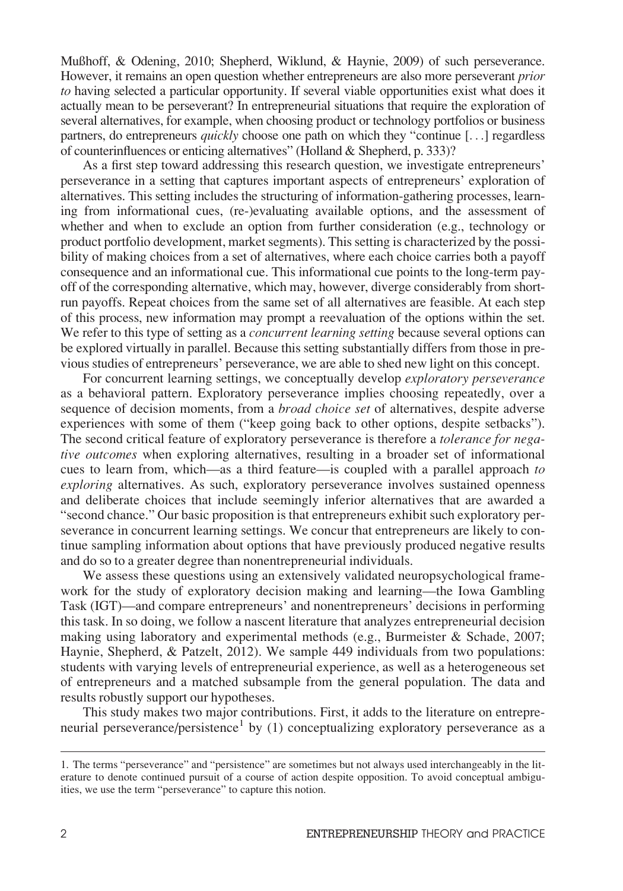Mußhoff, & Odening, 2010; Shepherd, Wiklund, & Haynie, 2009) of such perseverance. However, it remains an open question whether entrepreneurs are also more perseverant prior to having selected a particular opportunity. If several viable opportunities exist what does it actually mean to be perseverant? In entrepreneurial situations that require the exploration of several alternatives, for example, when choosing product or technology portfolios or business partners, do entrepreneurs *quickly* choose one path on which they "continue [...] regardless of counterinfluences or enticing alternatives" (Holland & Shepherd, p. 333)?

As a first step toward addressing this research question, we investigate entrepreneurs' perseverance in a setting that captures important aspects of entrepreneurs' exploration of alternatives. This setting includes the structuring of information-gathering processes, learning from informational cues, (re-)evaluating available options, and the assessment of whether and when to exclude an option from further consideration (e.g., technology or product portfolio development, market segments). This setting is characterized by the possibility of making choices from a set of alternatives, where each choice carries both a payoff consequence and an informational cue. This informational cue points to the long-term payoff of the corresponding alternative, which may, however, diverge considerably from shortrun payoffs. Repeat choices from the same set of all alternatives are feasible. At each step of this process, new information may prompt a reevaluation of the options within the set. We refer to this type of setting as a *concurrent learning setting* because several options can be explored virtually in parallel. Because this setting substantially differs from those in previous studies of entrepreneurs' perseverance, we are able to shed new light on this concept.

For concurrent learning settings, we conceptually develop *exploratory perseverance* as a behavioral pattern. Exploratory perseverance implies choosing repeatedly, over a sequence of decision moments, from a *broad choice set* of alternatives, despite adverse experiences with some of them ("keep going back to other options, despite setbacks"). The second critical feature of exploratory perseverance is therefore a *tolerance for nega*tive outcomes when exploring alternatives, resulting in a broader set of informational cues to learn from, which—as a third feature—is coupled with a parallel approach to exploring alternatives. As such, exploratory perseverance involves sustained openness and deliberate choices that include seemingly inferior alternatives that are awarded a "second chance." Our basic proposition is that entrepreneurs exhibit such exploratory perseverance in concurrent learning settings. We concur that entrepreneurs are likely to continue sampling information about options that have previously produced negative results and do so to a greater degree than nonentrepreneurial individuals.

We assess these questions using an extensively validated neuropsychological framework for the study of exploratory decision making and learning—the Iowa Gambling Task (IGT)—and compare entrepreneurs' and nonentrepreneurs' decisions in performing this task. In so doing, we follow a nascent literature that analyzes entrepreneurial decision making using laboratory and experimental methods (e.g., Burmeister  $\&$  Schade, 2007; Haynie, Shepherd, & Patzelt, 2012). We sample 449 individuals from two populations: students with varying levels of entrepreneurial experience, as well as a heterogeneous set of entrepreneurs and a matched subsample from the general population. The data and results robustly support our hypotheses.

This study makes two major contributions. First, it adds to the literature on entrepreneurial perseverance/persistence<sup>1</sup> by (1) conceptualizing exploratory perseverance as a

<sup>1.</sup> The terms "perseverance" and "persistence" are sometimes but not always used interchangeably in the literature to denote continued pursuit of a course of action despite opposition. To avoid conceptual ambiguities, we use the term "perseverance" to capture this notion.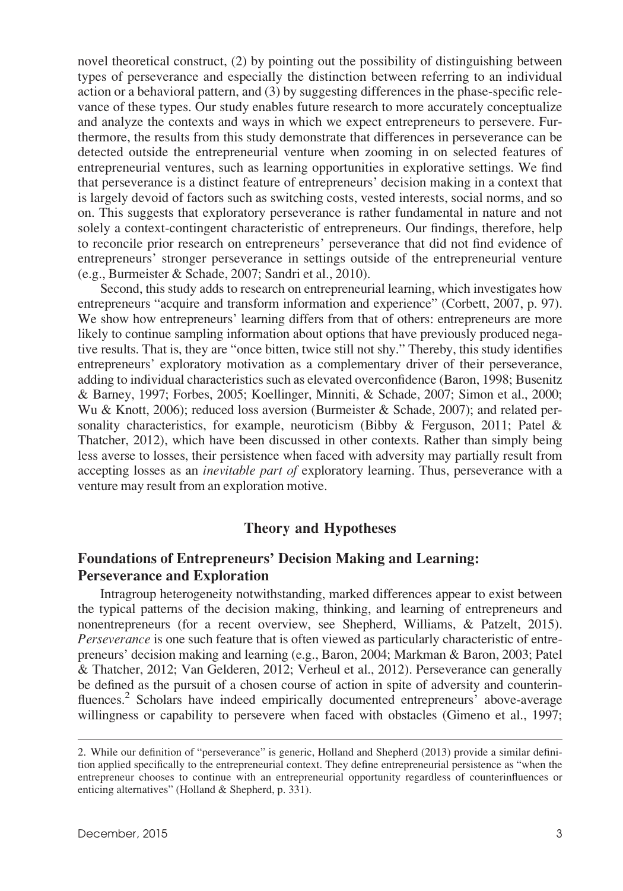novel theoretical construct, (2) by pointing out the possibility of distinguishing between types of perseverance and especially the distinction between referring to an individual action or a behavioral pattern, and (3) by suggesting differences in the phase-specific relevance of these types. Our study enables future research to more accurately conceptualize and analyze the contexts and ways in which we expect entrepreneurs to persevere. Furthermore, the results from this study demonstrate that differences in perseverance can be detected outside the entrepreneurial venture when zooming in on selected features of entrepreneurial ventures, such as learning opportunities in explorative settings. We find that perseverance is a distinct feature of entrepreneurs' decision making in a context that is largely devoid of factors such as switching costs, vested interests, social norms, and so on. This suggests that exploratory perseverance is rather fundamental in nature and not solely a context-contingent characteristic of entrepreneurs. Our findings, therefore, help to reconcile prior research on entrepreneurs' perseverance that did not find evidence of entrepreneurs' stronger perseverance in settings outside of the entrepreneurial venture (e.g., Burmeister & Schade, 2007; Sandri et al., 2010).

Second, this study adds to research on entrepreneurial learning, which investigates how entrepreneurs "acquire and transform information and experience" (Corbett, 2007, p. 97). We show how entrepreneurs' learning differs from that of others: entrepreneurs are more likely to continue sampling information about options that have previously produced negative results. That is, they are "once bitten, twice still not shy." Thereby, this study identifies entrepreneurs' exploratory motivation as a complementary driver of their perseverance, adding to individual characteristics such as elevated overconfidence (Baron, 1998; Busenitz & Barney, 1997; Forbes, 2005; Koellinger, Minniti, & Schade, 2007; Simon et al., 2000; Wu & Knott, 2006); reduced loss aversion (Burmeister & Schade, 2007); and related personality characteristics, for example, neuroticism (Bibby  $\&$  Ferguson, 2011; Patel  $\&$ Thatcher, 2012), which have been discussed in other contexts. Rather than simply being less averse to losses, their persistence when faced with adversity may partially result from accepting losses as an inevitable part of exploratory learning. Thus, perseverance with a venture may result from an exploration motive.

### Theory and Hypotheses

# Foundations of Entrepreneurs' Decision Making and Learning: Perseverance and Exploration

Intragroup heterogeneity notwithstanding, marked differences appear to exist between the typical patterns of the decision making, thinking, and learning of entrepreneurs and nonentrepreneurs (for a recent overview, see Shepherd, Williams, & Patzelt, 2015). Perseverance is one such feature that is often viewed as particularly characteristic of entrepreneurs' decision making and learning (e.g., Baron, 2004; Markman & Baron, 2003; Patel & Thatcher, 2012; Van Gelderen, 2012; Verheul et al., 2012). Perseverance can generally be defined as the pursuit of a chosen course of action in spite of adversity and counterinfluences.<sup>2</sup> Scholars have indeed empirically documented entrepreneurs' above-average willingness or capability to persevere when faced with obstacles (Gimeno et al., 1997;

<sup>2.</sup> While our definition of "perseverance" is generic, Holland and Shepherd (2013) provide a similar definition applied specifically to the entrepreneurial context. They define entrepreneurial persistence as "when the entrepreneur chooses to continue with an entrepreneurial opportunity regardless of counterinfluences or enticing alternatives" (Holland & Shepherd, p. 331).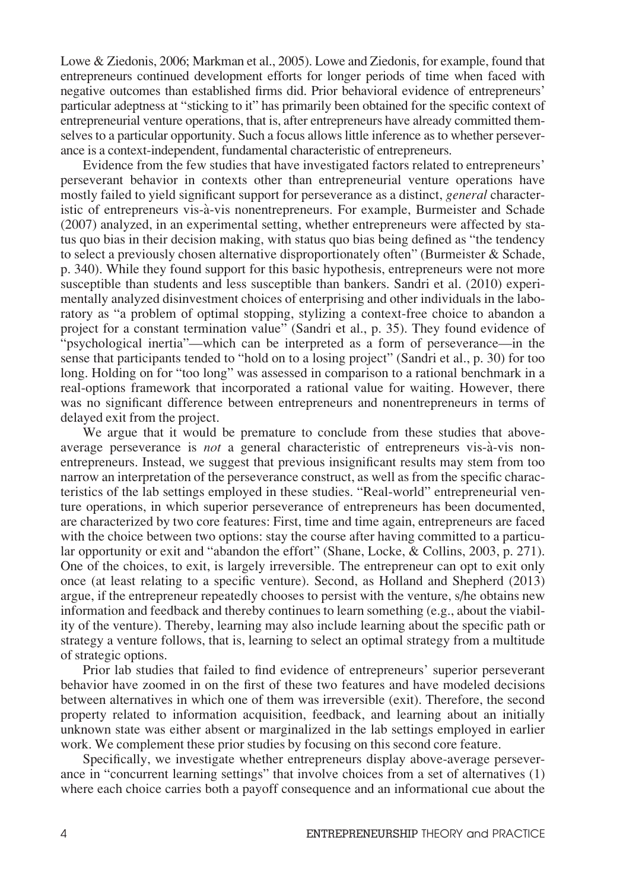Lowe & Ziedonis, 2006; Markman et al., 2005). Lowe and Ziedonis, for example, found that entrepreneurs continued development efforts for longer periods of time when faced with negative outcomes than established firms did. Prior behavioral evidence of entrepreneurs' particular adeptness at "sticking to it" has primarily been obtained for the specific context of entrepreneurial venture operations, that is, after entrepreneurs have already committed themselves to a particular opportunity. Such a focus allows little inference as to whether perseverance is a context-independent, fundamental characteristic of entrepreneurs.

Evidence from the few studies that have investigated factors related to entrepreneurs' perseverant behavior in contexts other than entrepreneurial venture operations have mostly failed to yield significant support for perseverance as a distinct, *general* characteristic of entrepreneurs vis-à-vis nonentrepreneurs. For example, Burmeister and Schade (2007) analyzed, in an experimental setting, whether entrepreneurs were affected by status quo bias in their decision making, with status quo bias being defined as "the tendency to select a previously chosen alternative disproportionately often" (Burmeister  $\&$  Schade, p. 340). While they found support for this basic hypothesis, entrepreneurs were not more susceptible than students and less susceptible than bankers. Sandri et al. (2010) experimentally analyzed disinvestment choices of enterprising and other individuals in the laboratory as "a problem of optimal stopping, stylizing a context-free choice to abandon a project for a constant termination value" (Sandri et al., p. 35). They found evidence of "psychological inertia"—which can be interpreted as a form of perseverance—in the sense that participants tended to "hold on to a losing project" (Sandri et al., p. 30) for too long. Holding on for "too long" was assessed in comparison to a rational benchmark in a real-options framework that incorporated a rational value for waiting. However, there was no significant difference between entrepreneurs and nonentrepreneurs in terms of delayed exit from the project.

We argue that it would be premature to conclude from these studies that aboveaverage perseverance is *not* a general characteristic of entrepreneurs vis-à-vis nonentrepreneurs. Instead, we suggest that previous insignificant results may stem from too narrow an interpretation of the perseverance construct, as well as from the specific characteristics of the lab settings employed in these studies. "Real-world" entrepreneurial venture operations, in which superior perseverance of entrepreneurs has been documented, are characterized by two core features: First, time and time again, entrepreneurs are faced with the choice between two options: stay the course after having committed to a particular opportunity or exit and "abandon the effort" (Shane, Locke, & Collins, 2003, p. 271). One of the choices, to exit, is largely irreversible. The entrepreneur can opt to exit only once (at least relating to a specific venture). Second, as Holland and Shepherd (2013) argue, if the entrepreneur repeatedly chooses to persist with the venture, s/he obtains new information and feedback and thereby continues to learn something (e.g., about the viability of the venture). Thereby, learning may also include learning about the specific path or strategy a venture follows, that is, learning to select an optimal strategy from a multitude of strategic options.

Prior lab studies that failed to find evidence of entrepreneurs' superior perseverant behavior have zoomed in on the first of these two features and have modeled decisions between alternatives in which one of them was irreversible (exit). Therefore, the second property related to information acquisition, feedback, and learning about an initially unknown state was either absent or marginalized in the lab settings employed in earlier work. We complement these prior studies by focusing on this second core feature.

Specifically, we investigate whether entrepreneurs display above-average perseverance in "concurrent learning settings" that involve choices from a set of alternatives (1) where each choice carries both a payoff consequence and an informational cue about the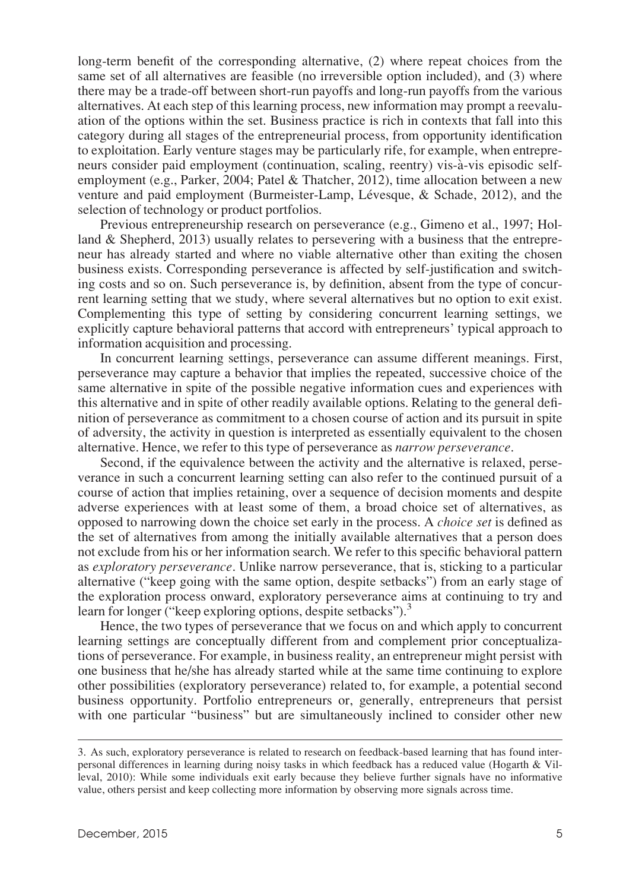long-term benefit of the corresponding alternative, (2) where repeat choices from the same set of all alternatives are feasible (no irreversible option included), and (3) where there may be a trade-off between short-run payoffs and long-run payoffs from the various alternatives. At each step of this learning process, new information may prompt a reevaluation of the options within the set. Business practice is rich in contexts that fall into this category during all stages of the entrepreneurial process, from opportunity identification to exploitation. Early venture stages may be particularly rife, for example, when entrepreneurs consider paid employment (continuation, scaling, reentry) vis-à-vis episodic selfemployment (e.g., Parker, 2004; Patel & Thatcher, 2012), time allocation between a new venture and paid employment (Burmeister-Lamp, Lévesque, & Schade, 2012), and the selection of technology or product portfolios.

Previous entrepreneurship research on perseverance (e.g., Gimeno et al., 1997; Holland & Shepherd, 2013) usually relates to persevering with a business that the entrepreneur has already started and where no viable alternative other than exiting the chosen business exists. Corresponding perseverance is affected by self-justification and switching costs and so on. Such perseverance is, by definition, absent from the type of concurrent learning setting that we study, where several alternatives but no option to exit exist. Complementing this type of setting by considering concurrent learning settings, we explicitly capture behavioral patterns that accord with entrepreneurs' typical approach to information acquisition and processing.

In concurrent learning settings, perseverance can assume different meanings. First, perseverance may capture a behavior that implies the repeated, successive choice of the same alternative in spite of the possible negative information cues and experiences with this alternative and in spite of other readily available options. Relating to the general definition of perseverance as commitment to a chosen course of action and its pursuit in spite of adversity, the activity in question is interpreted as essentially equivalent to the chosen alternative. Hence, we refer to this type of perseverance as narrow perseverance.

Second, if the equivalence between the activity and the alternative is relaxed, perseverance in such a concurrent learning setting can also refer to the continued pursuit of a course of action that implies retaining, over a sequence of decision moments and despite adverse experiences with at least some of them, a broad choice set of alternatives, as opposed to narrowing down the choice set early in the process. A choice set is defined as the set of alternatives from among the initially available alternatives that a person does not exclude from his or her information search. We refer to this specific behavioral pattern as exploratory perseverance. Unlike narrow perseverance, that is, sticking to a particular alternative ("keep going with the same option, despite setbacks") from an early stage of the exploration process onward, exploratory perseverance aims at continuing to try and learn for longer ("keep exploring options, despite setbacks").<sup>3</sup>

Hence, the two types of perseverance that we focus on and which apply to concurrent learning settings are conceptually different from and complement prior conceptualizations of perseverance. For example, in business reality, an entrepreneur might persist with one business that he/she has already started while at the same time continuing to explore other possibilities (exploratory perseverance) related to, for example, a potential second business opportunity. Portfolio entrepreneurs or, generally, entrepreneurs that persist with one particular "business" but are simultaneously inclined to consider other new

<sup>3.</sup> As such, exploratory perseverance is related to research on feedback-based learning that has found interpersonal differences in learning during noisy tasks in which feedback has a reduced value (Hogarth & Villeval, 2010): While some individuals exit early because they believe further signals have no informative value, others persist and keep collecting more information by observing more signals across time.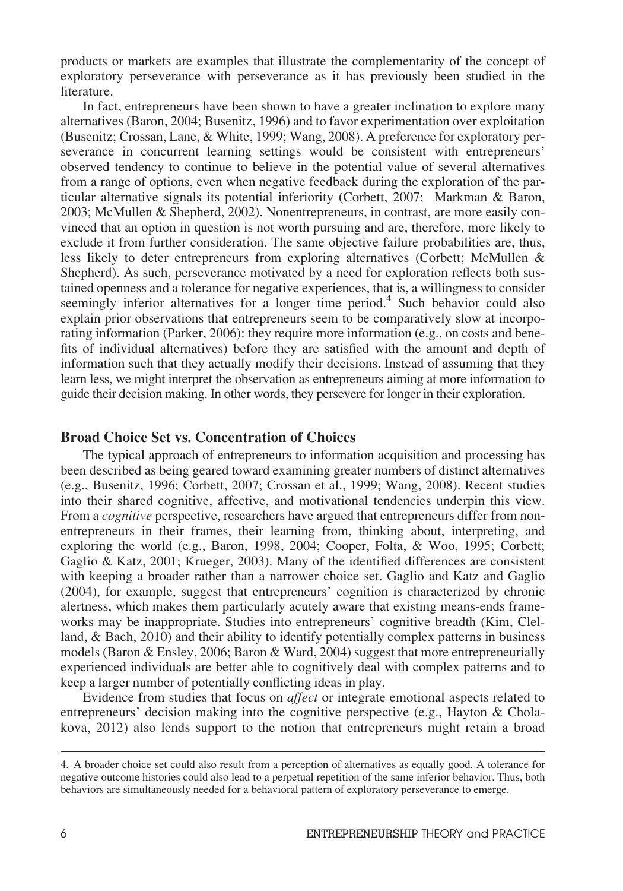products or markets are examples that illustrate the complementarity of the concept of exploratory perseverance with perseverance as it has previously been studied in the literature.

In fact, entrepreneurs have been shown to have a greater inclination to explore many alternatives (Baron, 2004; Busenitz, 1996) and to favor experimentation over exploitation (Busenitz; Crossan, Lane, & White, 1999; Wang, 2008). A preference for exploratory perseverance in concurrent learning settings would be consistent with entrepreneurs' observed tendency to continue to believe in the potential value of several alternatives from a range of options, even when negative feedback during the exploration of the particular alternative signals its potential inferiority (Corbett, 2007; Markman & Baron, 2003; McMullen & Shepherd, 2002). Nonentrepreneurs, in contrast, are more easily convinced that an option in question is not worth pursuing and are, therefore, more likely to exclude it from further consideration. The same objective failure probabilities are, thus, less likely to deter entrepreneurs from exploring alternatives (Corbett; McMullen & Shepherd). As such, perseverance motivated by a need for exploration reflects both sustained openness and a tolerance for negative experiences, that is, a willingness to consider seemingly inferior alternatives for a longer time period.<sup>4</sup> Such behavior could also explain prior observations that entrepreneurs seem to be comparatively slow at incorporating information (Parker, 2006): they require more information (e.g., on costs and benefits of individual alternatives) before they are satisfied with the amount and depth of information such that they actually modify their decisions. Instead of assuming that they learn less, we might interpret the observation as entrepreneurs aiming at more information to guide their decision making. In other words, they persevere for longer in their exploration.

# Broad Choice Set vs. Concentration of Choices

The typical approach of entrepreneurs to information acquisition and processing has been described as being geared toward examining greater numbers of distinct alternatives (e.g., Busenitz, 1996; Corbett, 2007; Crossan et al., 1999; Wang, 2008). Recent studies into their shared cognitive, affective, and motivational tendencies underpin this view. From a *cognitive* perspective, researchers have argued that entrepreneurs differ from nonentrepreneurs in their frames, their learning from, thinking about, interpreting, and exploring the world (e.g., Baron, 1998, 2004; Cooper, Folta, & Woo, 1995; Corbett; Gaglio & Katz, 2001; Krueger, 2003). Many of the identified differences are consistent with keeping a broader rather than a narrower choice set. Gaglio and Katz and Gaglio (2004), for example, suggest that entrepreneurs' cognition is characterized by chronic alertness, which makes them particularly acutely aware that existing means-ends frameworks may be inappropriate. Studies into entrepreneurs' cognitive breadth (Kim, Clelland, & Bach, 2010) and their ability to identify potentially complex patterns in business models (Baron & Ensley, 2006; Baron & Ward, 2004) suggest that more entrepreneurially experienced individuals are better able to cognitively deal with complex patterns and to keep a larger number of potentially conflicting ideas in play.

Evidence from studies that focus on affect or integrate emotional aspects related to entrepreneurs' decision making into the cognitive perspective (e.g., Hayton & Cholakova, 2012) also lends support to the notion that entrepreneurs might retain a broad

<sup>4.</sup> A broader choice set could also result from a perception of alternatives as equally good. A tolerance for negative outcome histories could also lead to a perpetual repetition of the same inferior behavior. Thus, both behaviors are simultaneously needed for a behavioral pattern of exploratory perseverance to emerge.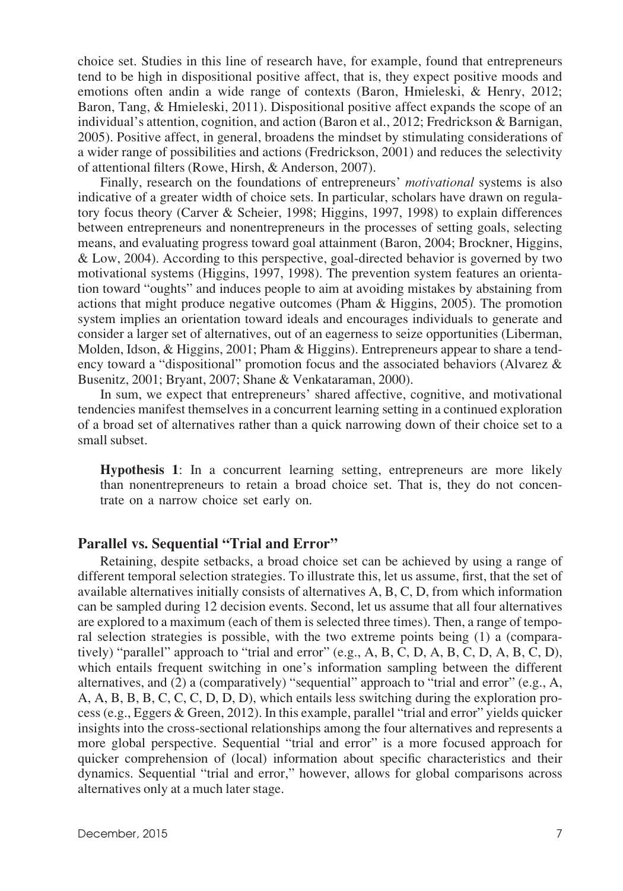choice set. Studies in this line of research have, for example, found that entrepreneurs tend to be high in dispositional positive affect, that is, they expect positive moods and emotions often andin a wide range of contexts (Baron, Hmieleski, & Henry, 2012; Baron, Tang, & Hmieleski, 2011). Dispositional positive affect expands the scope of an individual's attention, cognition, and action (Baron et al., 2012; Fredrickson & Barnigan, 2005). Positive affect, in general, broadens the mindset by stimulating considerations of a wider range of possibilities and actions (Fredrickson, 2001) and reduces the selectivity of attentional filters (Rowe, Hirsh, & Anderson, 2007).

Finally, research on the foundations of entrepreneurs' *motivational* systems is also indicative of a greater width of choice sets. In particular, scholars have drawn on regulatory focus theory (Carver & Scheier, 1998; Higgins, 1997, 1998) to explain differences between entrepreneurs and nonentrepreneurs in the processes of setting goals, selecting means, and evaluating progress toward goal attainment (Baron, 2004; Brockner, Higgins, & Low, 2004). According to this perspective, goal-directed behavior is governed by two motivational systems (Higgins, 1997, 1998). The prevention system features an orientation toward "oughts" and induces people to aim at avoiding mistakes by abstaining from actions that might produce negative outcomes (Pham & Higgins, 2005). The promotion system implies an orientation toward ideals and encourages individuals to generate and consider a larger set of alternatives, out of an eagerness to seize opportunities (Liberman, Molden, Idson, & Higgins, 2001; Pham & Higgins). Entrepreneurs appear to share a tendency toward a "dispositional" promotion focus and the associated behaviors (Alvarez & Busenitz, 2001; Bryant, 2007; Shane & Venkataraman, 2000).

In sum, we expect that entrepreneurs' shared affective, cognitive, and motivational tendencies manifest themselves in a concurrent learning setting in a continued exploration of a broad set of alternatives rather than a quick narrowing down of their choice set to a small subset.

Hypothesis 1: In a concurrent learning setting, entrepreneurs are more likely than nonentrepreneurs to retain a broad choice set. That is, they do not concentrate on a narrow choice set early on.

### Parallel vs. Sequential "Trial and Error"

Retaining, despite setbacks, a broad choice set can be achieved by using a range of different temporal selection strategies. To illustrate this, let us assume, first, that the set of available alternatives initially consists of alternatives A, B, C, D, from which information can be sampled during 12 decision events. Second, let us assume that all four alternatives are explored to a maximum (each of them is selected three times). Then, a range of temporal selection strategies is possible, with the two extreme points being (1) a (comparatively) "parallel" approach to "trial and error" (e.g., A, B, C, D, A, B, C, D, A, B, C, D), which entails frequent switching in one's information sampling between the different alternatives, and (2) a (comparatively) "sequential" approach to "trial and error" (e.g., A, A, A, B, B, B, C, C, C, D, D, D), which entails less switching during the exploration process (e.g., Eggers & Green, 2012). In this example, parallel "trial and error" yields quicker insights into the cross-sectional relationships among the four alternatives and represents a more global perspective. Sequential "trial and error" is a more focused approach for quicker comprehension of (local) information about specific characteristics and their dynamics. Sequential "trial and error," however, allows for global comparisons across alternatives only at a much later stage.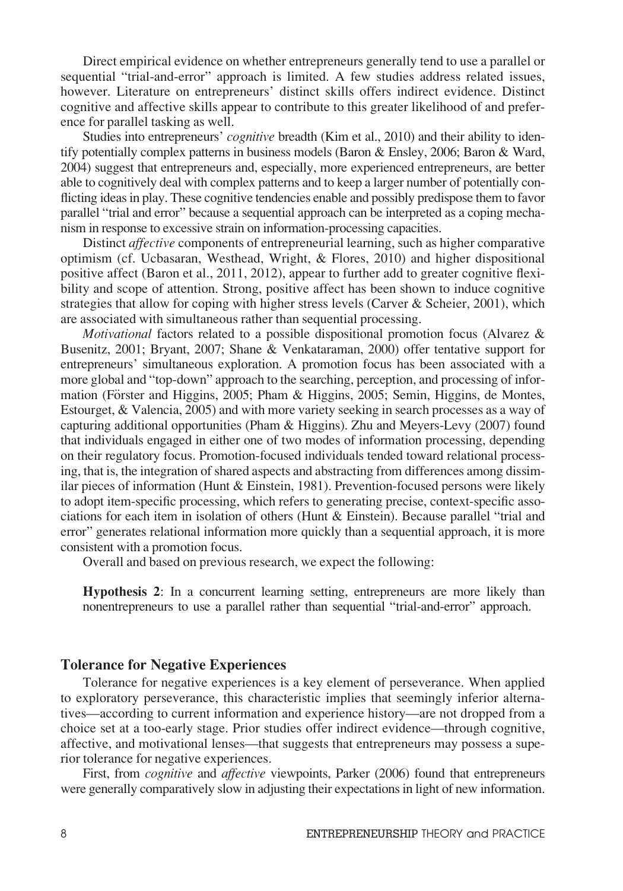Direct empirical evidence on whether entrepreneurs generally tend to use a parallel or sequential "trial-and-error" approach is limited. A few studies address related issues, however. Literature on entrepreneurs' distinct skills offers indirect evidence. Distinct cognitive and affective skills appear to contribute to this greater likelihood of and preference for parallel tasking as well.

Studies into entrepreneurs' *cognitive* breadth (Kim et al., 2010) and their ability to identify potentially complex patterns in business models (Baron & Ensley, 2006; Baron & Ward, 2004) suggest that entrepreneurs and, especially, more experienced entrepreneurs, are better able to cognitively deal with complex patterns and to keep a larger number of potentially conflicting ideas in play. These cognitive tendencies enable and possibly predispose them to favor parallel "trial and error" because a sequential approach can be interpreted as a coping mechanism in response to excessive strain on information-processing capacities.

Distinct *affective* components of entrepreneurial learning, such as higher comparative optimism (cf. Ucbasaran, Westhead, Wright, & Flores, 2010) and higher dispositional positive affect (Baron et al., 2011, 2012), appear to further add to greater cognitive flexibility and scope of attention. Strong, positive affect has been shown to induce cognitive strategies that allow for coping with higher stress levels (Carver & Scheier, 2001), which are associated with simultaneous rather than sequential processing.

*Motivational* factors related to a possible dispositional promotion focus (Alvarez  $\&$ Busenitz, 2001; Bryant, 2007; Shane & Venkataraman, 2000) offer tentative support for entrepreneurs' simultaneous exploration. A promotion focus has been associated with a more global and "top-down" approach to the searching, perception, and processing of information (Förster and Higgins, 2005; Pham & Higgins, 2005; Semin, Higgins, de Montes, Estourget, & Valencia, 2005) and with more variety seeking in search processes as a way of capturing additional opportunities (Pham & Higgins). Zhu and Meyers-Levy (2007) found that individuals engaged in either one of two modes of information processing, depending on their regulatory focus. Promotion-focused individuals tended toward relational processing, that is, the integration of shared aspects and abstracting from differences among dissimilar pieces of information (Hunt & Einstein, 1981). Prevention-focused persons were likely to adopt item-specific processing, which refers to generating precise, context-specific associations for each item in isolation of others (Hunt & Einstein). Because parallel "trial and error" generates relational information more quickly than a sequential approach, it is more consistent with a promotion focus.

Overall and based on previous research, we expect the following:

Hypothesis 2: In a concurrent learning setting, entrepreneurs are more likely than nonentrepreneurs to use a parallel rather than sequential "trial-and-error" approach.

#### Tolerance for Negative Experiences

Tolerance for negative experiences is a key element of perseverance. When applied to exploratory perseverance, this characteristic implies that seemingly inferior alternatives—according to current information and experience history—are not dropped from a choice set at a too-early stage. Prior studies offer indirect evidence—through cognitive, affective, and motivational lenses—that suggests that entrepreneurs may possess a superior tolerance for negative experiences.

First, from *cognitive* and *affective* viewpoints, Parker (2006) found that entrepreneurs were generally comparatively slow in adjusting their expectations in light of new information.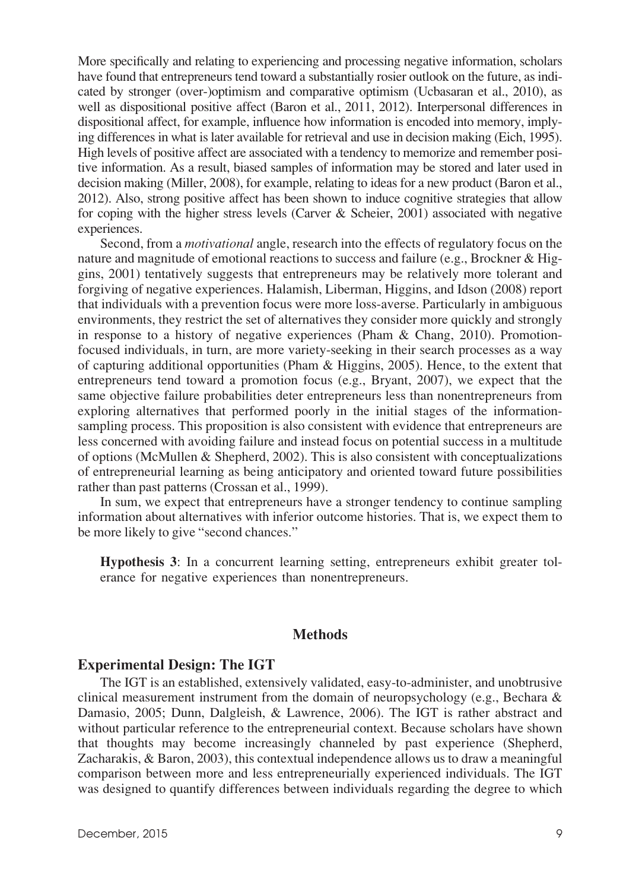More specifically and relating to experiencing and processing negative information, scholars have found that entrepreneurs tend toward a substantially rosier outlook on the future, as indicated by stronger (over-)optimism and comparative optimism (Ucbasaran et al., 2010), as well as dispositional positive affect (Baron et al., 2011, 2012). Interpersonal differences in dispositional affect, for example, influence how information is encoded into memory, implying differences in what is later available for retrieval and use in decision making (Eich, 1995). High levels of positive affect are associated with a tendency to memorize and remember positive information. As a result, biased samples of information may be stored and later used in decision making (Miller, 2008), for example, relating to ideas for a new product (Baron et al., 2012). Also, strong positive affect has been shown to induce cognitive strategies that allow for coping with the higher stress levels (Carver  $\&$  Scheier, 2001) associated with negative experiences.

Second, from a motivational angle, research into the effects of regulatory focus on the nature and magnitude of emotional reactions to success and failure (e.g., Brockner & Higgins, 2001) tentatively suggests that entrepreneurs may be relatively more tolerant and forgiving of negative experiences. Halamish, Liberman, Higgins, and Idson (2008) report that individuals with a prevention focus were more loss-averse. Particularly in ambiguous environments, they restrict the set of alternatives they consider more quickly and strongly in response to a history of negative experiences (Pham & Chang, 2010). Promotionfocused individuals, in turn, are more variety-seeking in their search processes as a way of capturing additional opportunities (Pham & Higgins, 2005). Hence, to the extent that entrepreneurs tend toward a promotion focus (e.g., Bryant, 2007), we expect that the same objective failure probabilities deter entrepreneurs less than nonentrepreneurs from exploring alternatives that performed poorly in the initial stages of the informationsampling process. This proposition is also consistent with evidence that entrepreneurs are less concerned with avoiding failure and instead focus on potential success in a multitude of options (McMullen & Shepherd, 2002). This is also consistent with conceptualizations of entrepreneurial learning as being anticipatory and oriented toward future possibilities rather than past patterns (Crossan et al., 1999).

In sum, we expect that entrepreneurs have a stronger tendency to continue sampling information about alternatives with inferior outcome histories. That is, we expect them to be more likely to give "second chances."

Hypothesis 3: In a concurrent learning setting, entrepreneurs exhibit greater tolerance for negative experiences than nonentrepreneurs.

# **Methods**

#### Experimental Design: The IGT

The IGT is an established, extensively validated, easy-to-administer, and unobtrusive clinical measurement instrument from the domain of neuropsychology (e.g., Bechara & Damasio, 2005; Dunn, Dalgleish, & Lawrence, 2006). The IGT is rather abstract and without particular reference to the entrepreneurial context. Because scholars have shown that thoughts may become increasingly channeled by past experience (Shepherd, Zacharakis, & Baron, 2003), this contextual independence allows us to draw a meaningful comparison between more and less entrepreneurially experienced individuals. The IGT was designed to quantify differences between individuals regarding the degree to which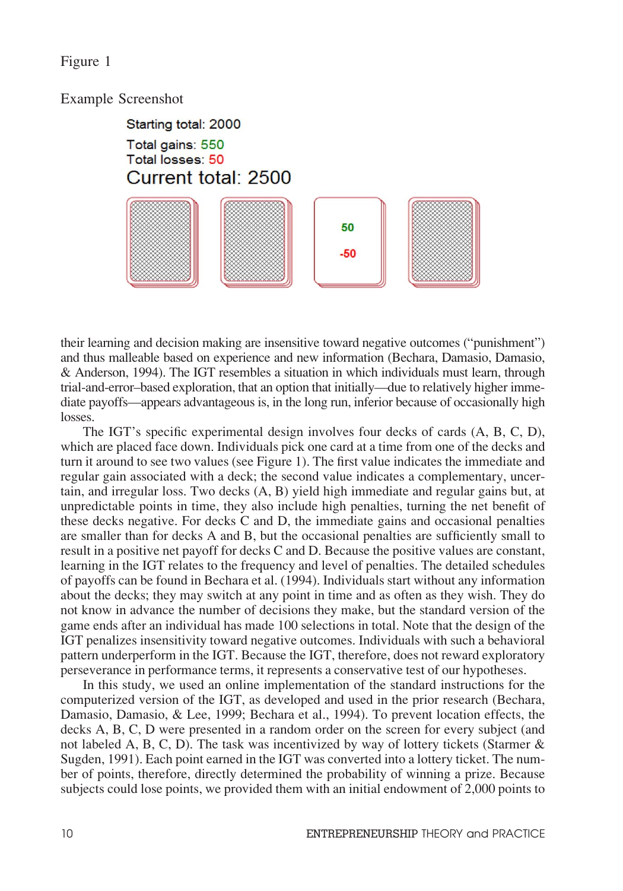Example Screenshot

# Starting total: 2000 Total gains: 550 Total losses: 50 Current total: 2500



their learning and decision making are insensitive toward negative outcomes ("punishment") and thus malleable based on experience and new information (Bechara, Damasio, Damasio, & Anderson, 1994). The IGT resembles a situation in which individuals must learn, through trial-and-error–based exploration, that an option that initially—due to relatively higher immediate payoffs—appears advantageous is, in the long run, inferior because of occasionally high losses.

The IGT's specific experimental design involves four decks of cards (A, B, C, D), which are placed face down. Individuals pick one card at a time from one of the decks and turn it around to see two values (see Figure 1). The first value indicates the immediate and regular gain associated with a deck; the second value indicates a complementary, uncertain, and irregular loss. Two decks (A, B) yield high immediate and regular gains but, at unpredictable points in time, they also include high penalties, turning the net benefit of these decks negative. For decks C and D, the immediate gains and occasional penalties are smaller than for decks A and B, but the occasional penalties are sufficiently small to result in a positive net payoff for decks C and D. Because the positive values are constant, learning in the IGT relates to the frequency and level of penalties. The detailed schedules of payoffs can be found in Bechara et al. (1994). Individuals start without any information about the decks; they may switch at any point in time and as often as they wish. They do not know in advance the number of decisions they make, but the standard version of the game ends after an individual has made 100 selections in total. Note that the design of the IGT penalizes insensitivity toward negative outcomes. Individuals with such a behavioral pattern underperform in the IGT. Because the IGT, therefore, does not reward exploratory perseverance in performance terms, it represents a conservative test of our hypotheses.

In this study, we used an online implementation of the standard instructions for the computerized version of the IGT, as developed and used in the prior research (Bechara, Damasio, Damasio, & Lee, 1999; Bechara et al., 1994). To prevent location effects, the decks A, B, C, D were presented in a random order on the screen for every subject (and not labeled A, B, C, D). The task was incentivized by way of lottery tickets (Starmer  $\&$ Sugden, 1991). Each point earned in the IGT was converted into a lottery ticket. The number of points, therefore, directly determined the probability of winning a prize. Because subjects could lose points, we provided them with an initial endowment of 2,000 points to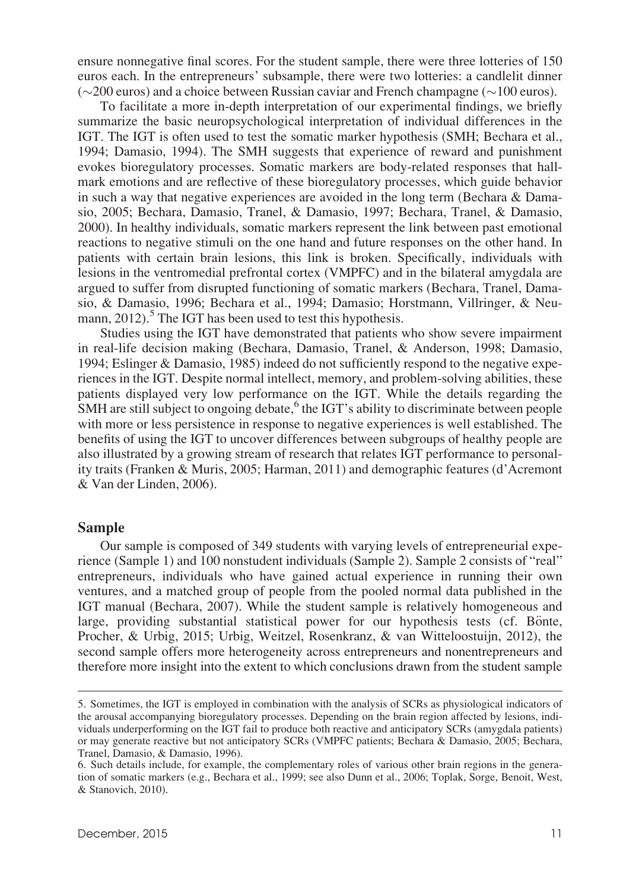ensure nonnegative final scores. For the student sample, there were three lotteries of 150 euros each. In the entrepreneurs' subsample, there were two lotteries: a candlelit dinner  $(\sim 200$  euros) and a choice between Russian caviar and French champagne ( $\sim 100$  euros).

To facilitate a more in-depth interpretation of our experimental findings, we briefly summarize the basic neuropsychological interpretation of individual differences in the IGT. The IGT is often used to test the somatic marker hypothesis (SMH; Bechara et al., 1994; Damasio, 1994). The SMH suggests that experience of reward and punishment evokes bioregulatory processes. Somatic markers are body-related responses that hallmark emotions and are reflective of these bioregulatory processes, which guide behavior in such a way that negative experiences are avoided in the long term (Bechara & Damasio, 2005; Bechara, Damasio, Tranel, & Damasio, 1997; Bechara, Tranel, & Damasio, 2000). In healthy individuals, somatic markers represent the link between past emotional reactions to negative stimuli on the one hand and future responses on the other hand. In patients with certain brain lesions, this link is broken. Specifically, individuals with lesions in the ventromedial prefrontal cortex (VMPFC) and in the bilateral amygdala are argued to suffer from disrupted functioning of somatic markers (Bechara, Tranel, Damasio, & Damasio, 1996; Bechara et al., 1994; Damasio; Horstmann, Villringer, & Neumann,  $2012$ ).<sup>5</sup> The IGT has been used to test this hypothesis.

Studies using the IGT have demonstrated that patients who show severe impairment in real-life decision making (Bechara, Damasio, Tranel, & Anderson, 1998; Damasio, 1994; Eslinger & Damasio, 1985) indeed do not sufficiently respond to the negative experiences in the IGT. Despite normal intellect, memory, and problem-solving abilities, these patients displayed very low performance on the IGT. While the details regarding the SMH are still subject to ongoing debate,  $6$  the IGT's ability to discriminate between people with more or less persistence in response to negative experiences is well established. The benefits of using the IGT to uncover differences between subgroups of healthy people are also illustrated by a growing stream of research that relates IGT performance to personality traits (Franken & Muris, 2005; Harman, 2011) and demographic features (d'Acremont & Van der Linden, 2006).

### Sample

Our sample is composed of 349 students with varying levels of entrepreneurial experience (Sample 1) and 100 nonstudent individuals (Sample 2). Sample 2 consists of "real" entrepreneurs, individuals who have gained actual experience in running their own ventures, and a matched group of people from the pooled normal data published in the IGT manual (Bechara, 2007). While the student sample is relatively homogeneous and large, providing substantial statistical power for our hypothesis tests (cf. Bönte, Procher, & Urbig, 2015; Urbig, Weitzel, Rosenkranz, & van Witteloostuijn, 2012), the second sample offers more heterogeneity across entrepreneurs and nonentrepreneurs and therefore more insight into the extent to which conclusions drawn from the student sample

<sup>5.</sup> Sometimes, the IGT is employed in combination with the analysis of SCRs as physiological indicators of the arousal accompanying bioregulatory processes. Depending on the brain region affected by lesions, individuals underperforming on the IGT fail to produce both reactive and anticipatory SCRs (amygdala patients) or may generate reactive but not anticipatory SCRs (VMPFC patients; Bechara & Damasio, 2005; Bechara, Tranel, Damasio, & Damasio, 1996).

<sup>6.</sup> Such details include, for example, the complementary roles of various other brain regions in the generation of somatic markers (e.g., Bechara et al., 1999; see also Dunn et al., 2006; Toplak, Sorge, Benoit, West, & Stanovich, 2010).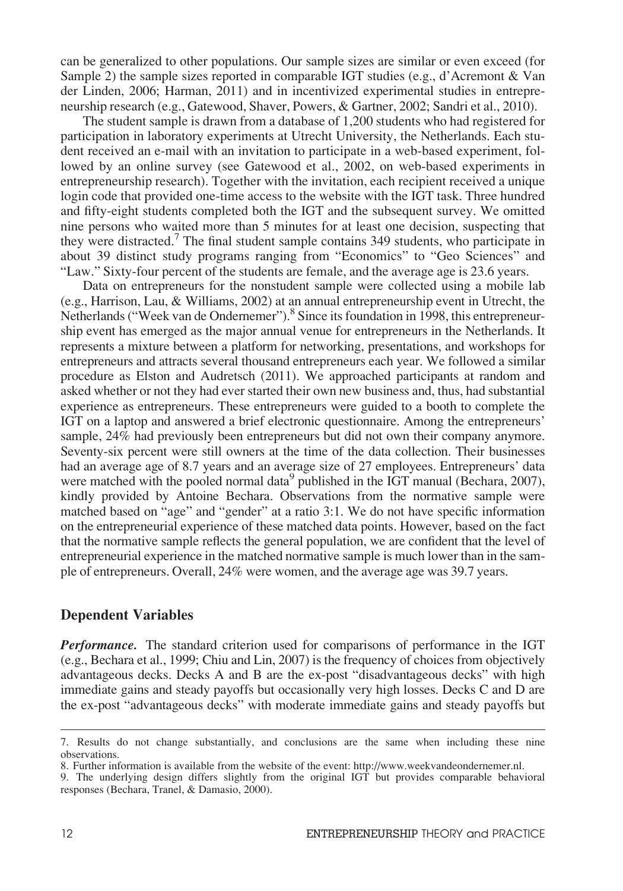can be generalized to other populations. Our sample sizes are similar or even exceed (for Sample 2) the sample sizes reported in comparable IGT studies (e.g., d'Acremont & Van der Linden, 2006; Harman, 2011) and in incentivized experimental studies in entrepreneurship research (e.g., Gatewood, Shaver, Powers, & Gartner, 2002; Sandri et al., 2010).

The student sample is drawn from a database of 1,200 students who had registered for participation in laboratory experiments at Utrecht University, the Netherlands. Each student received an e-mail with an invitation to participate in a web-based experiment, followed by an online survey (see Gatewood et al., 2002, on web-based experiments in entrepreneurship research). Together with the invitation, each recipient received a unique login code that provided one-time access to the website with the IGT task. Three hundred and fifty-eight students completed both the IGT and the subsequent survey. We omitted nine persons who waited more than 5 minutes for at least one decision, suspecting that they were distracted.<sup>7</sup> The final student sample contains 349 students, who participate in about 39 distinct study programs ranging from "Economics" to "Geo Sciences" and "Law." Sixty-four percent of the students are female, and the average age is 23.6 years.

Data on entrepreneurs for the nonstudent sample were collected using a mobile lab (e.g., Harrison, Lau, & Williams, 2002) at an annual entrepreneurship event in Utrecht, the Netherlands ("Week van de Ondernemer").<sup>8</sup> Since its foundation in 1998, this entrepreneurship event has emerged as the major annual venue for entrepreneurs in the Netherlands. It represents a mixture between a platform for networking, presentations, and workshops for entrepreneurs and attracts several thousand entrepreneurs each year. We followed a similar procedure as Elston and Audretsch (2011). We approached participants at random and asked whether or not they had ever started their own new business and, thus, had substantial experience as entrepreneurs. These entrepreneurs were guided to a booth to complete the IGT on a laptop and answered a brief electronic questionnaire. Among the entrepreneurs' sample, 24% had previously been entrepreneurs but did not own their company anymore. Seventy-six percent were still owners at the time of the data collection. Their businesses had an average age of 8.7 years and an average size of 27 employees. Entrepreneurs' data were matched with the pooled normal data<sup>9</sup> published in the IGT manual (Bechara, 2007), kindly provided by Antoine Bechara. Observations from the normative sample were matched based on "age" and "gender" at a ratio 3:1. We do not have specific information on the entrepreneurial experience of these matched data points. However, based on the fact that the normative sample reflects the general population, we are confident that the level of entrepreneurial experience in the matched normative sample is much lower than in the sample of entrepreneurs. Overall, 24% were women, and the average age was 39.7 years.

# Dependent Variables

**Performance.** The standard criterion used for comparisons of performance in the IGT (e.g., Bechara et al., 1999; Chiu and Lin, 2007) is the frequency of choices from objectively advantageous decks. Decks A and B are the ex-post "disadvantageous decks" with high immediate gains and steady payoffs but occasionally very high losses. Decks C and D are the ex-post "advantageous decks" with moderate immediate gains and steady payoffs but

<sup>7.</sup> Results do not change substantially, and conclusions are the same when including these nine observations.

<sup>8.</sup> Further information is available from the website of the event:<http://www.weekvandeondernemer.nl>.

<sup>9.</sup> The underlying design differs slightly from the original IGT but provides comparable behavioral responses (Bechara, Tranel, & Damasio, 2000).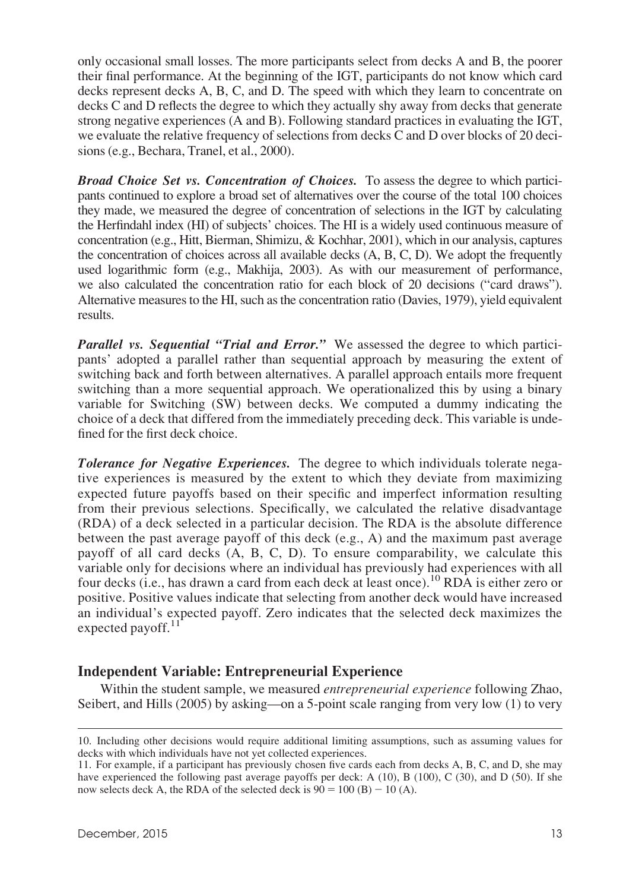only occasional small losses. The more participants select from decks A and B, the poorer their final performance. At the beginning of the IGT, participants do not know which card decks represent decks A, B, C, and D. The speed with which they learn to concentrate on decks C and D reflects the degree to which they actually shy away from decks that generate strong negative experiences (A and B). Following standard practices in evaluating the IGT, we evaluate the relative frequency of selections from decks C and D over blocks of 20 decisions (e.g., Bechara, Tranel, et al., 2000).

**Broad Choice Set vs. Concentration of Choices.** To assess the degree to which participants continued to explore a broad set of alternatives over the course of the total 100 choices they made, we measured the degree of concentration of selections in the IGT by calculating the Herfindahl index (HI) of subjects' choices. The HI is a widely used continuous measure of concentration (e.g., Hitt, Bierman, Shimizu, & Kochhar, 2001), which in our analysis, captures the concentration of choices across all available decks (A, B, C, D). We adopt the frequently used logarithmic form (e.g., Makhija, 2003). As with our measurement of performance, we also calculated the concentration ratio for each block of 20 decisions ("card draws"). Alternative measures to the HI, such as the concentration ratio (Davies, 1979), yield equivalent results.

Parallel vs. Sequential "Trial and Error." We assessed the degree to which participants' adopted a parallel rather than sequential approach by measuring the extent of switching back and forth between alternatives. A parallel approach entails more frequent switching than a more sequential approach. We operationalized this by using a binary variable for Switching (SW) between decks. We computed a dummy indicating the choice of a deck that differed from the immediately preceding deck. This variable is undefined for the first deck choice.

Tolerance for Negative Experiences. The degree to which individuals tolerate negative experiences is measured by the extent to which they deviate from maximizing expected future payoffs based on their specific and imperfect information resulting from their previous selections. Specifically, we calculated the relative disadvantage (RDA) of a deck selected in a particular decision. The RDA is the absolute difference between the past average payoff of this deck (e.g., A) and the maximum past average payoff of all card decks (A, B, C, D). To ensure comparability, we calculate this variable only for decisions where an individual has previously had experiences with all four decks (i.e., has drawn a card from each deck at least once).<sup>10</sup> RDA is either zero or positive. Positive values indicate that selecting from another deck would have increased an individual's expected payoff. Zero indicates that the selected deck maximizes the expected payoff. $11$ 

# Independent Variable: Entrepreneurial Experience

Within the student sample, we measured *entrepreneurial experience* following Zhao, Seibert, and Hills (2005) by asking—on a 5-point scale ranging from very low (1) to very

<sup>10.</sup> Including other decisions would require additional limiting assumptions, such as assuming values for decks with which individuals have not yet collected experiences.

<sup>11.</sup> For example, if a participant has previously chosen five cards each from decks A, B, C, and D, she may have experienced the following past average payoffs per deck: A (10), B (100), C (30), and D (50). If she now selects deck A, the RDA of the selected deck is  $90 = 100$  (B)  $- 10$  (A).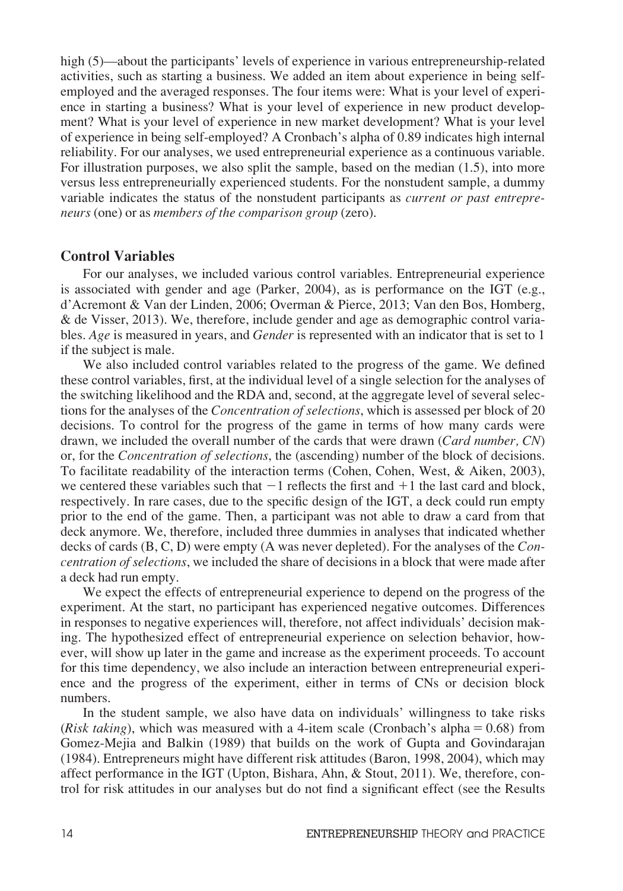high (5)—about the participants' levels of experience in various entrepreneurship-related activities, such as starting a business. We added an item about experience in being selfemployed and the averaged responses. The four items were: What is your level of experience in starting a business? What is your level of experience in new product development? What is your level of experience in new market development? What is your level of experience in being self-employed? A Cronbach's alpha of 0.89 indicates high internal reliability. For our analyses, we used entrepreneurial experience as a continuous variable. For illustration purposes, we also split the sample, based on the median (1.5), into more versus less entrepreneurially experienced students. For the nonstudent sample, a dummy variable indicates the status of the nonstudent participants as current or past entrepreneurs (one) or as members of the comparison group (zero).

## Control Variables

For our analyses, we included various control variables. Entrepreneurial experience is associated with gender and age (Parker, 2004), as is performance on the IGT (e.g., d'Acremont & Van der Linden, 2006; Overman & Pierce, 2013; Van den Bos, Homberg, & de Visser, 2013). We, therefore, include gender and age as demographic control variables. Age is measured in years, and *Gender* is represented with an indicator that is set to 1 if the subject is male.

We also included control variables related to the progress of the game. We defined these control variables, first, at the individual level of a single selection for the analyses of the switching likelihood and the RDA and, second, at the aggregate level of several selections for the analyses of the *Concentration of selections*, which is assessed per block of 20 decisions. To control for the progress of the game in terms of how many cards were drawn, we included the overall number of the cards that were drawn (Card number, CN) or, for the Concentration of selections, the (ascending) number of the block of decisions. To facilitate readability of the interaction terms (Cohen, Cohen, West, & Aiken, 2003), we centered these variables such that  $-1$  reflects the first and  $+1$  the last card and block, respectively. In rare cases, due to the specific design of the IGT, a deck could run empty prior to the end of the game. Then, a participant was not able to draw a card from that deck anymore. We, therefore, included three dummies in analyses that indicated whether decks of cards (B, C, D) were empty (A was never depleted). For the analyses of the Concentration of selections, we included the share of decisions in a block that were made after a deck had run empty.

We expect the effects of entrepreneurial experience to depend on the progress of the experiment. At the start, no participant has experienced negative outcomes. Differences in responses to negative experiences will, therefore, not affect individuals' decision making. The hypothesized effect of entrepreneurial experience on selection behavior, however, will show up later in the game and increase as the experiment proceeds. To account for this time dependency, we also include an interaction between entrepreneurial experience and the progress of the experiment, either in terms of CNs or decision block numbers.

In the student sample, we also have data on individuals' willingness to take risks (Risk taking), which was measured with a 4-item scale (Cronbach's alpha =  $0.68$ ) from Gomez-Mejia and Balkin (1989) that builds on the work of Gupta and Govindarajan (1984). Entrepreneurs might have different risk attitudes (Baron, 1998, 2004), which may affect performance in the IGT (Upton, Bishara, Ahn, & Stout, 2011). We, therefore, control for risk attitudes in our analyses but do not find a significant effect (see the Results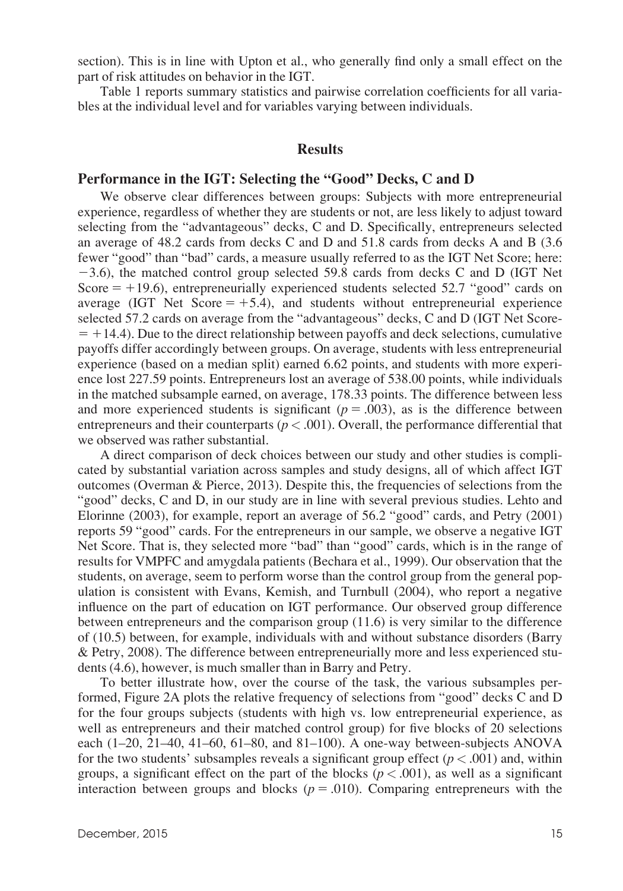section). This is in line with Upton et al., who generally find only a small effect on the part of risk attitudes on behavior in the IGT.

Table 1 reports summary statistics and pairwise correlation coefficients for all variables at the individual level and for variables varying between individuals.

# **Results**

#### Performance in the IGT: Selecting the "Good" Decks, C and D

We observe clear differences between groups: Subjects with more entrepreneurial experience, regardless of whether they are students or not, are less likely to adjust toward selecting from the "advantageous" decks, C and D. Specifically, entrepreneurs selected an average of 48.2 cards from decks C and D and 51.8 cards from decks A and B (3.6 fewer "good" than "bad" cards, a measure usually referred to as the IGT Net Score; here:  $-3.6$ ), the matched control group selected 59.8 cards from decks C and D (IGT Net Score  $= +19.6$ ), entrepreneurially experienced students selected 52.7 "good" cards on average (IGT Net Score  $= +5.4$ ), and students without entrepreneurial experience selected 57.2 cards on average from the "advantageous" decks, C and D (IGT Net Score- $= +14.4$ ). Due to the direct relationship between payoffs and deck selections, cumulative payoffs differ accordingly between groups. On average, students with less entrepreneurial experience (based on a median split) earned 6.62 points, and students with more experience lost 227.59 points. Entrepreneurs lost an average of 538.00 points, while individuals in the matched subsample earned, on average, 178.33 points. The difference between less and more experienced students is significant ( $p = .003$ ), as is the difference between entrepreneurs and their counterparts ( $p < .001$ ). Overall, the performance differential that we observed was rather substantial.

A direct comparison of deck choices between our study and other studies is complicated by substantial variation across samples and study designs, all of which affect IGT outcomes (Overman & Pierce, 2013). Despite this, the frequencies of selections from the "good" decks, C and D, in our study are in line with several previous studies. Lehto and Elorinne (2003), for example, report an average of 56.2 "good" cards, and Petry (2001) reports 59 "good" cards. For the entrepreneurs in our sample, we observe a negative IGT Net Score. That is, they selected more "bad" than "good" cards, which is in the range of results for VMPFC and amygdala patients (Bechara et al., 1999). Our observation that the students, on average, seem to perform worse than the control group from the general population is consistent with Evans, Kemish, and Turnbull (2004), who report a negative influence on the part of education on IGT performance. Our observed group difference between entrepreneurs and the comparison group (11.6) is very similar to the difference of (10.5) between, for example, individuals with and without substance disorders (Barry & Petry, 2008). The difference between entrepreneurially more and less experienced students (4.6), however, is much smaller than in Barry and Petry.

To better illustrate how, over the course of the task, the various subsamples performed, Figure 2A plots the relative frequency of selections from "good" decks C and D for the four groups subjects (students with high vs. low entrepreneurial experience, as well as entrepreneurs and their matched control group) for five blocks of 20 selections each  $(1-20, 21-40, 41-60, 61-80,$  and  $81-100)$ . A one-way between-subjects ANOVA for the two students' subsamples reveals a significant group effect  $(p < .001)$  and, within groups, a significant effect on the part of the blocks ( $p < .001$ ), as well as a significant interaction between groups and blocks ( $p = .010$ ). Comparing entrepreneurs with the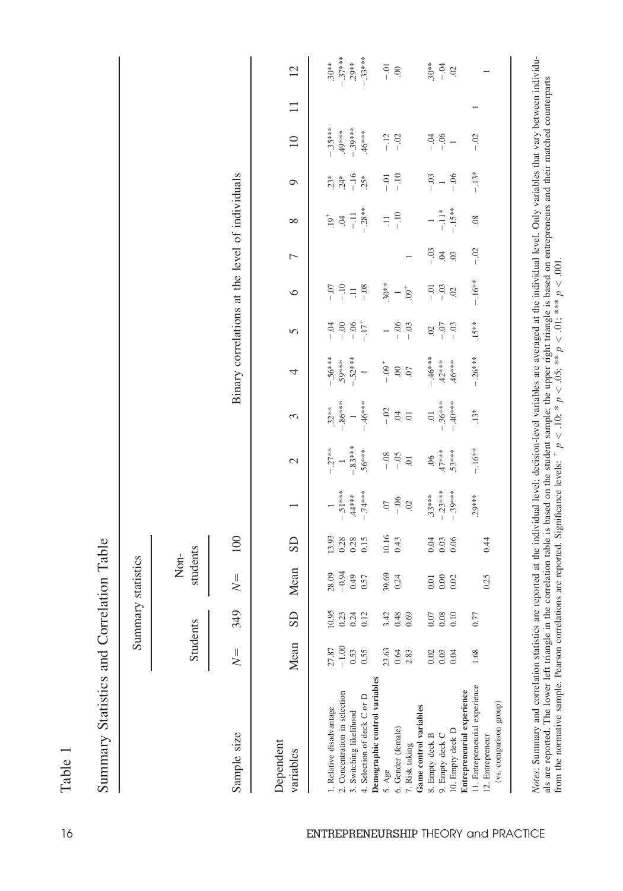Table 1

Summary Statistics and Correlation Table Summary Statistics and Correlation Table

|                                                                                                            |                                  | Summary                          | statistics               |                       |                                                    |                                                    |                                         |                                                  |                                                          |                                                           |                                |                                                              |                                     |                                    |        |                                   |
|------------------------------------------------------------------------------------------------------------|----------------------------------|----------------------------------|--------------------------|-----------------------|----------------------------------------------------|----------------------------------------------------|-----------------------------------------|--------------------------------------------------|----------------------------------------------------------|-----------------------------------------------------------|--------------------------------|--------------------------------------------------------------|-------------------------------------|------------------------------------|--------|-----------------------------------|
|                                                                                                            | Students                         |                                  | students<br>Non-         |                       |                                                    |                                                    |                                         |                                                  |                                                          |                                                           |                                |                                                              |                                     |                                    |        |                                   |
| Sample size                                                                                                | $N =$                            | 349                              | $N =$                    | 100                   |                                                    |                                                    |                                         | Binary correlations at the level of individuals  |                                                          |                                                           |                                |                                                              |                                     |                                    |        |                                   |
| Dependent<br>variables                                                                                     | Mean                             | $_{\rm S}$                       | Mean                     | SD                    |                                                    | $\mathcal{L}$                                      | 3                                       | 4                                                | 5                                                        | $\circ$                                                   | $\overline{ }$                 | $\infty$                                                     | $\circ$                             | $\overline{a}$                     | $\Box$ | 12                                |
| 2. Concentration in selection<br>1. Relative disadvantage<br>3. Switching likelihood                       | $-1.00$<br>27.87<br>0.53         | 10.95<br>0.23<br>0.24            | $-0.94$<br>28.09<br>0.49 | 13.93<br>0.28<br>0.28 | $-51***$<br>$.44***$<br>$\overline{a}$             | $.83***$<br>$-27**$<br>$\overline{a}$              | $-86***$<br>$.32***$                    | $-.56***$<br>$-.52***$<br>****65.                | $-17^{+}$<br>$-0.6$<br>$-0$<br>$-0.00$                   | $-10$<br>$-0$<br>$\equiv$                                 |                                | $\stackrel{+}{\phantom{+}}9$<br>$\overline{a}$<br>$\ddot{q}$ | $-16$<br>$23*$<br>$.24*$            | $-.35***$<br>$-39***$<br>.49***    |        | $-.37***$<br>$.30**$<br>$.29***$  |
| Demographic control variables<br>4. Selection of deck C or D<br>6. Gender (female)<br>5. Age               | 23.63<br>0.55<br>0.64            | 0.12<br>3.42<br>0.48             | 39.69<br>0.57<br>0.24    | 10.16<br>0.43<br>0.15 | $-74***$<br>$-0.06$<br>$\omega$                    | $.56***$<br>$-0.08$<br>$-0.05$                     | $-46***$<br>$-0.02$<br>S.               | $-0.09 +$<br>$\circ$<br>$\overline{\phantom{0}}$ | $-0.06$<br>$\overline{\phantom{0}}$                      | $.30**$<br>$-0.08$<br>$\overline{\phantom{0}}$            |                                | $-28**$<br>$-10$<br>$\equiv$                                 | $-10$<br>$-0.01$<br>$25*$           | $.46***$<br>$-12$<br>$-0$          |        | $-.33***$<br>$-0.01$<br>$\odot$   |
| Game control variables<br>10. Empty deck D<br>8. Empty deck B<br>9. Empty deck C<br>7. Risk taking         | 2.83<br>0.02<br>$0.03\,$<br>0.04 | 0.69<br>$0.08\,$<br>0.10<br>0.07 | 0.00<br>0.02<br>0.01     | 0.03<br>0.06<br>0.04  | $-23***$<br>$-39***$<br>$.33***$<br>$\overline{c}$ | $.47***$<br>$.53***$<br>$\overline{90}$ .<br>$\Xi$ | $-.36***$<br>$-40***$<br>$\Xi$<br>$\Xi$ | $-46***$<br>$42***$<br>$46***$<br>$\rm O$        | $-0.03$<br>$-0.7$<br>$-0.03$<br>$\overline{\mathcal{O}}$ | $-0.03$<br>$^{+60}$<br>$-0.01$<br>$\overline{\mathrm{O}}$ | $-0.3$<br>S.<br>$\ddot{\circ}$ | $-15**$<br>$-11*$                                            | $-0.03$<br>$-0.6$<br>$\overline{a}$ | $-0.6$<br>$-0.4$<br>$\overline{a}$ |        | $30**$<br>$-0.4$<br>$\mathcal{O}$ |
| 11. Entrepreneurial experience<br>Entrepreneurial experience<br>(vs. comparison group)<br>12. Entrepreneur | 1.68                             | 0.77                             | 0.25                     | 0.44                  | $.29***$                                           | $-16**$                                            | $.13*$                                  | $-.26***$                                        | $.15**$                                                  | $-16**$                                                   | $-0.02$                        | $\overline{08}$                                              | $-13*$                              | $-0.02$                            |        |                                   |

*Notes*: Summary and correlation statistics are reported at the individual level; decision-level variables are averaged at the individual level. Only variables that vary between individu-<br>als are reported. The lower left Notes: Summary and correlation statistics are reported at the individual level; decision-level variables are averaged at the individual level. Only variables that vary between individuals are reported. The lower left triangle in the correlation table is based on the student sample; the upper right triangle is based on entrepreneurs and their matched counterparts from the normative sample. Pearson correlations are reported. Significance levels:  $^+p < .0$ ;  $^*p < .05$ ;  $^{**}p < .01$ ;  $^{***}p < .001$ .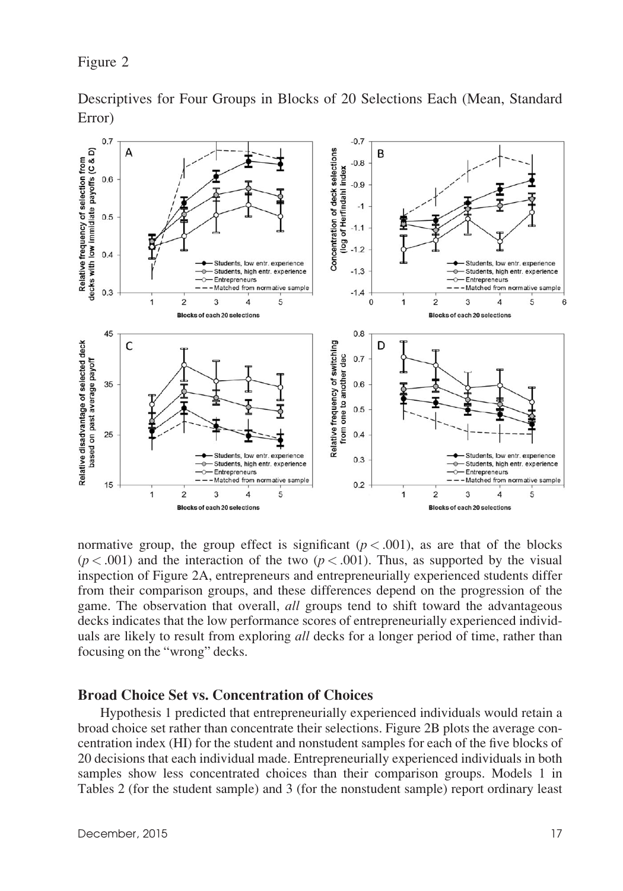Descriptives for Four Groups in Blocks of 20 Selections Each (Mean, Standard Error)



normative group, the group effect is significant  $(p < .001)$ , as are that of the blocks  $(p < .001)$  and the interaction of the two  $(p < .001)$ . Thus, as supported by the visual inspection of Figure 2A, entrepreneurs and entrepreneurially experienced students differ from their comparison groups, and these differences depend on the progression of the game. The observation that overall, all groups tend to shift toward the advantageous decks indicates that the low performance scores of entrepreneurially experienced individuals are likely to result from exploring all decks for a longer period of time, rather than focusing on the "wrong" decks.

# Broad Choice Set vs. Concentration of Choices

Hypothesis 1 predicted that entrepreneurially experienced individuals would retain a broad choice set rather than concentrate their selections. Figure 2B plots the average concentration index (HI) for the student and nonstudent samples for each of the five blocks of 20 decisions that each individual made. Entrepreneurially experienced individuals in both samples show less concentrated choices than their comparison groups. Models 1 in Tables 2 (for the student sample) and 3 (for the nonstudent sample) report ordinary least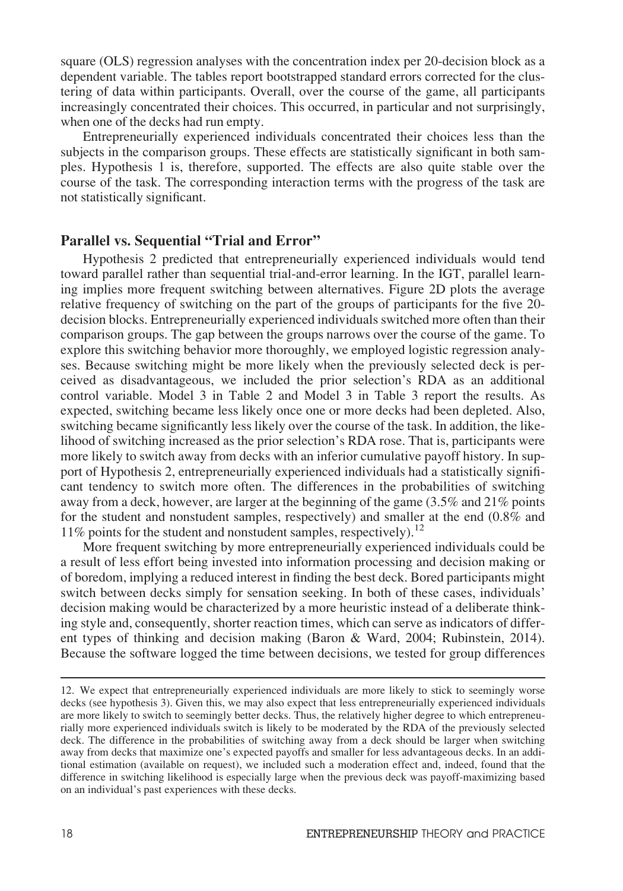square (OLS) regression analyses with the concentration index per 20-decision block as a dependent variable. The tables report bootstrapped standard errors corrected for the clustering of data within participants. Overall, over the course of the game, all participants increasingly concentrated their choices. This occurred, in particular and not surprisingly, when one of the decks had run empty.

Entrepreneurially experienced individuals concentrated their choices less than the subjects in the comparison groups. These effects are statistically significant in both samples. Hypothesis 1 is, therefore, supported. The effects are also quite stable over the course of the task. The corresponding interaction terms with the progress of the task are not statistically significant.

## Parallel vs. Sequential "Trial and Error"

Hypothesis 2 predicted that entrepreneurially experienced individuals would tend toward parallel rather than sequential trial-and-error learning. In the IGT, parallel learning implies more frequent switching between alternatives. Figure 2D plots the average relative frequency of switching on the part of the groups of participants for the five 20 decision blocks. Entrepreneurially experienced individuals switched more often than their comparison groups. The gap between the groups narrows over the course of the game. To explore this switching behavior more thoroughly, we employed logistic regression analyses. Because switching might be more likely when the previously selected deck is perceived as disadvantageous, we included the prior selection's RDA as an additional control variable. Model 3 in Table 2 and Model 3 in Table 3 report the results. As expected, switching became less likely once one or more decks had been depleted. Also, switching became significantly less likely over the course of the task. In addition, the likelihood of switching increased as the prior selection's RDA rose. That is, participants were more likely to switch away from decks with an inferior cumulative payoff history. In support of Hypothesis 2, entrepreneurially experienced individuals had a statistically significant tendency to switch more often. The differences in the probabilities of switching away from a deck, however, are larger at the beginning of the game (3.5% and 21% points for the student and nonstudent samples, respectively) and smaller at the end (0.8% and 11% points for the student and nonstudent samples, respectively).<sup>12</sup>

More frequent switching by more entrepreneurially experienced individuals could be a result of less effort being invested into information processing and decision making or of boredom, implying a reduced interest in finding the best deck. Bored participants might switch between decks simply for sensation seeking. In both of these cases, individuals' decision making would be characterized by a more heuristic instead of a deliberate thinking style and, consequently, shorter reaction times, which can serve as indicators of different types of thinking and decision making (Baron & Ward, 2004; Rubinstein, 2014). Because the software logged the time between decisions, we tested for group differences

<sup>12.</sup> We expect that entrepreneurially experienced individuals are more likely to stick to seemingly worse decks (see hypothesis 3). Given this, we may also expect that less entrepreneurially experienced individuals are more likely to switch to seemingly better decks. Thus, the relatively higher degree to which entrepreneurially more experienced individuals switch is likely to be moderated by the RDA of the previously selected deck. The difference in the probabilities of switching away from a deck should be larger when switching away from decks that maximize one's expected payoffs and smaller for less advantageous decks. In an additional estimation (available on request), we included such a moderation effect and, indeed, found that the difference in switching likelihood is especially large when the previous deck was payoff-maximizing based on an individual's past experiences with these decks.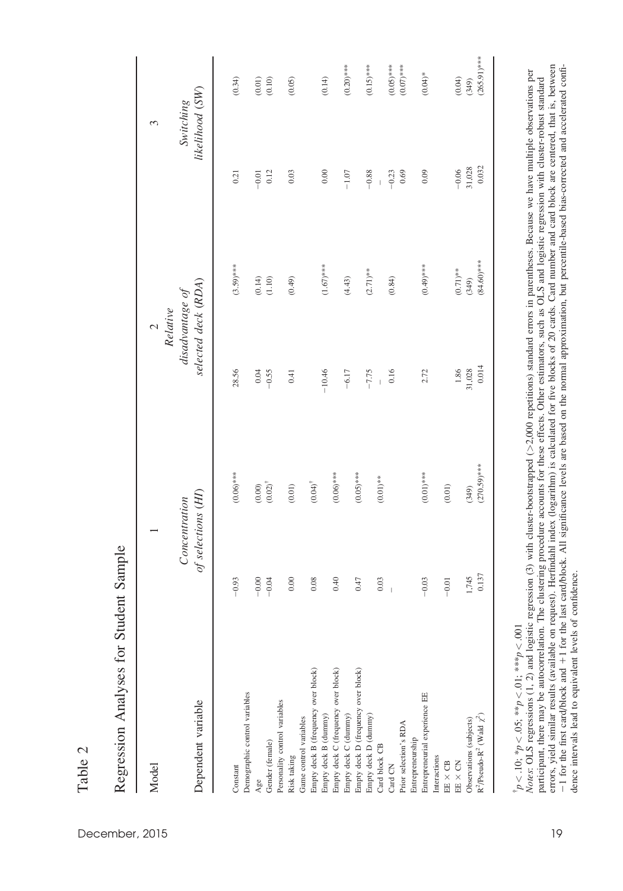| Model                                                                                              |                |                                     |                      | 2<br>Relative                          |                          | 3                            |
|----------------------------------------------------------------------------------------------------|----------------|-------------------------------------|----------------------|----------------------------------------|--------------------------|------------------------------|
| Dependent variable                                                                                 |                | of selections (HI)<br>Concentration |                      | selected deck (RDA)<br>disadvantage of |                          | likelihood (SW)<br>Switching |
| Constant                                                                                           | $-0.93$        | $(0.06)$ ***                        | 28.56                | $(3.59)$ ***                           | 0.21                     | (0.34)                       |
| Demographic control variables<br>Age                                                               | $-0.00$        | $(0.00)$                            | 0.04                 |                                        | $-0.01$                  |                              |
| Gender (female)                                                                                    | $-0.04$        | $(0.02)^{4}$                        | $-0.55$              | $(0.14)$<br>(1.10)                     | 0.12                     | $(0.01)$<br>$(0.10)$         |
| Personality control variables                                                                      |                |                                     |                      |                                        |                          |                              |
| Risk taking                                                                                        | 0.00           | (0.01)                              | 0.41                 | (0.49)                                 | 0.03                     | (0.05)                       |
| Game control variables                                                                             |                |                                     |                      |                                        |                          |                              |
|                                                                                                    | 0.08           | $(0.04)^{4}$                        |                      |                                        |                          |                              |
| Empty deck B (frequency over block)<br>Empty deck B (dummy)<br>Empty deck C (frequency over block) |                |                                     | $-10.46$             | $(1.67)$ ***                           | 0.00                     | (0.14)                       |
|                                                                                                    | 0.40           | $(0.06)$ ***                        |                      |                                        |                          |                              |
| Empty deck C (dummy)                                                                               |                |                                     | $-6.17$              | (4.43)                                 | $-1.07$                  | $(0.20)$ ***                 |
| Empty deck D (frequency over block)                                                                | 0.47           | $(0.05)$ ***                        |                      |                                        |                          |                              |
| Empty deck D (dummy)                                                                               |                |                                     | $-7.75$              | $(2.71)$ **                            | $-0.88$                  | $(0.15)$ ***                 |
| Card block CB                                                                                      | 0.03           | $(0.01)$ **                         | $\frac{1}{\sqrt{2}}$ |                                        | $\overline{\phantom{a}}$ |                              |
| Card CN                                                                                            | $\overline{1}$ |                                     | 0.16                 | (0.84)                                 | $-0.23$                  | $(0.05)$ ***                 |
| Prior selection's RDA                                                                              |                |                                     |                      |                                        | 0.69                     | $(0.07)$ ***                 |
| Entrepreneurship                                                                                   |                |                                     |                      |                                        |                          |                              |
| Entrepreneurial experience EE                                                                      | $-0.03$        | $(0.01)$ ***                        | 2.72                 | $(0.49)$ ***                           | 0.09                     | $(0.04)$ *                   |
| Interactions                                                                                       |                |                                     |                      |                                        |                          |                              |
|                                                                                                    | $-0.01$        | (0.01)                              |                      |                                        |                          |                              |
| EE X CB<br>EE X CN                                                                                 |                |                                     | $1.86\,$             | $(0.71)$ **                            | $-0.06$                  | (0.04)                       |
| Observations (subjects)                                                                            | 1,745          | (349)                               | 31,028               | (349)                                  | 31,028                   | (349)                        |
| $R^2$ /Pseudo-R <sup>2</sup> (Wald $\chi^2$ )                                                      | 0.137          | $(270.59)$ ***                      | 0.014                | $(84.60)$ ***                          | 0.032                    | $(265.91)$ ***               |

Regression Analyses for Student Sample Regression Analyses for Student Sample

 $\gamma^* p < 10$ ; \* $p < 0.05$ ; \*\* $p < 0.01$ ; \*\*\* $p < 0.01$  $\frac{1}{p} p < 0.10$ ; \* $p < 0.05$ ; \*\* $p < 0.01$ ; \*\*\* $p < 0.01$ 

errors, yield similar results (available on request). Herfindahl index (logarithm) is calculated for five blocks of 20 cards. Card number and card block are centered, that is, between -1 for the first card/block and +1 for the last card/block. All significance levels are based on the normal approximation, but percentile-based bias-corrected and accelerated confierrors, yield similar results (available on request). Herfindahl index (logarithm) is calculated for five blocks of 20 cards. Card number and card block are centered, that is, between 21 for the first card/block and 11 for the last card/block. All significance levels are based on the normal approximation, but percentile-based bias-corrected and accelerated confi-Notes: OLS regressions (1, 2) and logistic regression (3) with cluster-bootstrapped (>2,000 repetitions) standard errors in parentheses. Because we have multiple observations per participant, there may be autocorrelation. Notes: OLS regressions (1, 2) and logistic regression (3) with cluster-bootstrapped (>2,000 repetitions) standard errors in parentheses. Because we have multiple observations per participant, there may be autocorrelation. The clustering procedure accounts for these effects. Other estimators, such as OLS and logistic regression with cluster-robust standard dence intervals lead to equivalent levels of confidence. dence intervals lead to equivalent levels of confidence.

Table 2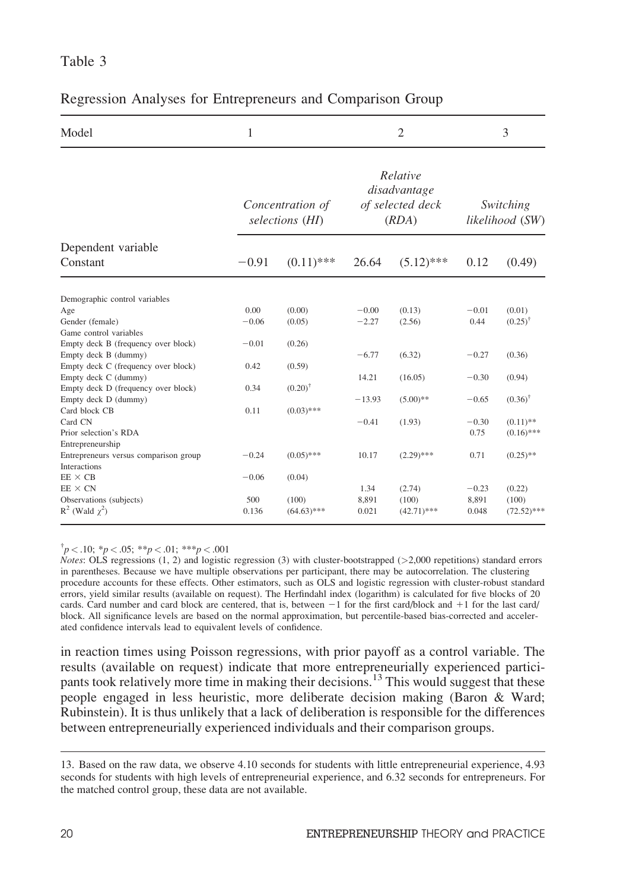| Model                                 | 1       |                                     |          | $\overline{2}$                                        |                 | 3                            |
|---------------------------------------|---------|-------------------------------------|----------|-------------------------------------------------------|-----------------|------------------------------|
|                                       |         | Concentration of<br>selections (HI) |          | Relative<br>disadvantage<br>of selected deck<br>(RDA) |                 | Switching<br>likelihood (SW) |
| Dependent variable                    |         |                                     |          |                                                       |                 |                              |
| Constant                              | $-0.91$ | $(0.11)$ ***                        | 26.64    | $(5.12)$ ***                                          | 0.12            | (0.49)                       |
| Demographic control variables         |         |                                     |          |                                                       |                 |                              |
| Age                                   | 0.00    | (0.00)                              | $-0.00$  | (0.13)                                                | $-0.01$         | (0.01)                       |
| Gender (female)                       | $-0.06$ | (0.05)                              | $-2.27$  | (2.56)                                                | 0.44            | $(0.25)^{\dagger}$           |
| Game control variables                |         |                                     |          |                                                       |                 |                              |
| Empty deck B (frequency over block)   | $-0.01$ | (0.26)                              |          |                                                       |                 |                              |
| Empty deck B (dummy)                  |         |                                     | $-6.77$  | (6.32)                                                | $-0.27$         | (0.36)                       |
| Empty deck C (frequency over block)   | 0.42    | (0.59)                              |          |                                                       |                 |                              |
| Empty deck C (dummy)                  |         |                                     | 14.21    | (16.05)                                               | $-0.30$         | (0.94)                       |
| Empty deck D (frequency over block)   | 0.34    | $(0.20)^{\dagger}$                  |          |                                                       |                 |                              |
| Empty deck D (dummy)                  |         |                                     | $-13.93$ | $(5.00)$ **                                           | $-0.65$         | $(0.36)$ <sup>†</sup>        |
| Card block CB                         | 0.11    | $(0.03)$ ***                        |          |                                                       |                 |                              |
| Card CN<br>Prior selection's RDA      |         |                                     | $-0.41$  | (1.93)                                                | $-0.30$<br>0.75 | $(0.11)$ **<br>$(0.16)$ ***  |
| Entrepreneurship                      |         |                                     |          |                                                       |                 |                              |
| Entrepreneurs versus comparison group | $-0.24$ | $(0.05)$ ***                        | 10.17    | $(2.29)$ ***                                          | 0.71            | $(0.25)$ **                  |
| Interactions                          |         |                                     |          |                                                       |                 |                              |
| $EE \times CB$                        | $-0.06$ | (0.04)                              |          |                                                       |                 |                              |
| $EE \times CN$                        |         |                                     | 1.34     | (2.74)                                                | $-0.23$         | (0.22)                       |
| Observations (subjects)               | 500     | (100)                               | 8,891    | (100)                                                 | 8,891           | (100)                        |
| $R^2$ (Wald $\gamma^2$ )              | 0.136   | $(64.63)$ ***                       | 0.021    | $(42.71)$ ***                                         | 0.048           | $(72.52)$ ***                |

# Table 3

# Regression Analyses for Entrepreneurs and Comparison Group

 $\phi^{\dagger} p < .10; \, \phi^{\dagger} p < .05; \, \phi^{\dagger} p < .01; \, \phi^{\dagger} p < .001$ 

*Notes*: OLS regressions  $(1, 2)$  and logistic regression  $(3)$  with cluster-bootstrapped  $(>2,000$  repetitions) standard errors in parentheses. Because we have multiple observations per participant, there may be autocorrelation. The clustering procedure accounts for these effects. Other estimators, such as OLS and logistic regression with cluster-robust standard errors, yield similar results (available on request). The Herfindahl index (logarithm) is calculated for five blocks of 20 cards. Card number and card block are centered, that is, between  $-1$  for the first card/block and  $+1$  for the last card/ block. All significance levels are based on the normal approximation, but percentile-based bias-corrected and accelerated confidence intervals lead to equivalent levels of confidence.

in reaction times using Poisson regressions, with prior payoff as a control variable. The results (available on request) indicate that more entrepreneurially experienced participants took relatively more time in making their decisions.<sup>13</sup> This would suggest that these people engaged in less heuristic, more deliberate decision making (Baron & Ward; Rubinstein). It is thus unlikely that a lack of deliberation is responsible for the differences between entrepreneurially experienced individuals and their comparison groups.

<sup>13.</sup> Based on the raw data, we observe 4.10 seconds for students with little entrepreneurial experience, 4.93 seconds for students with high levels of entrepreneurial experience, and 6.32 seconds for entrepreneurs. For the matched control group, these data are not available.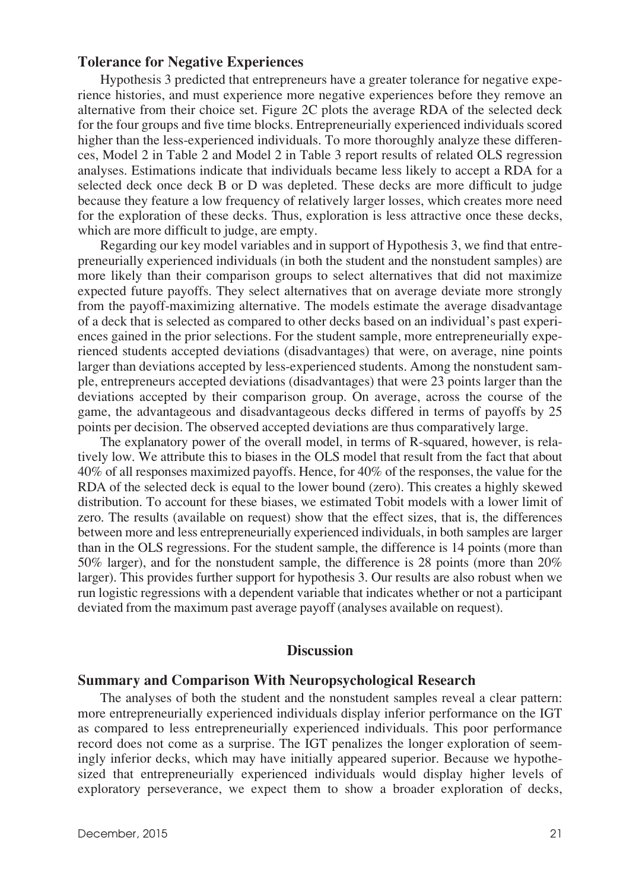# Tolerance for Negative Experiences

Hypothesis 3 predicted that entrepreneurs have a greater tolerance for negative experience histories, and must experience more negative experiences before they remove an alternative from their choice set. Figure 2C plots the average RDA of the selected deck for the four groups and five time blocks. Entrepreneurially experienced individuals scored higher than the less-experienced individuals. To more thoroughly analyze these differences, Model 2 in Table 2 and Model 2 in Table 3 report results of related OLS regression analyses. Estimations indicate that individuals became less likely to accept a RDA for a selected deck once deck B or D was depleted. These decks are more difficult to judge because they feature a low frequency of relatively larger losses, which creates more need for the exploration of these decks. Thus, exploration is less attractive once these decks, which are more difficult to judge, are empty.

Regarding our key model variables and in support of Hypothesis 3, we find that entrepreneurially experienced individuals (in both the student and the nonstudent samples) are more likely than their comparison groups to select alternatives that did not maximize expected future payoffs. They select alternatives that on average deviate more strongly from the payoff-maximizing alternative. The models estimate the average disadvantage of a deck that is selected as compared to other decks based on an individual's past experiences gained in the prior selections. For the student sample, more entrepreneurially experienced students accepted deviations (disadvantages) that were, on average, nine points larger than deviations accepted by less-experienced students. Among the nonstudent sample, entrepreneurs accepted deviations (disadvantages) that were 23 points larger than the deviations accepted by their comparison group. On average, across the course of the game, the advantageous and disadvantageous decks differed in terms of payoffs by 25 points per decision. The observed accepted deviations are thus comparatively large.

The explanatory power of the overall model, in terms of R-squared, however, is relatively low. We attribute this to biases in the OLS model that result from the fact that about 40% of all responses maximized payoffs. Hence, for 40% of the responses, the value for the RDA of the selected deck is equal to the lower bound (zero). This creates a highly skewed distribution. To account for these biases, we estimated Tobit models with a lower limit of zero. The results (available on request) show that the effect sizes, that is, the differences between more and less entrepreneurially experienced individuals, in both samples are larger than in the OLS regressions. For the student sample, the difference is 14 points (more than 50% larger), and for the nonstudent sample, the difference is 28 points (more than 20% larger). This provides further support for hypothesis 3. Our results are also robust when we run logistic regressions with a dependent variable that indicates whether or not a participant deviated from the maximum past average payoff (analyses available on request).

# **Discussion**

#### Summary and Comparison With Neuropsychological Research

The analyses of both the student and the nonstudent samples reveal a clear pattern: more entrepreneurially experienced individuals display inferior performance on the IGT as compared to less entrepreneurially experienced individuals. This poor performance record does not come as a surprise. The IGT penalizes the longer exploration of seemingly inferior decks, which may have initially appeared superior. Because we hypothesized that entrepreneurially experienced individuals would display higher levels of exploratory perseverance, we expect them to show a broader exploration of decks,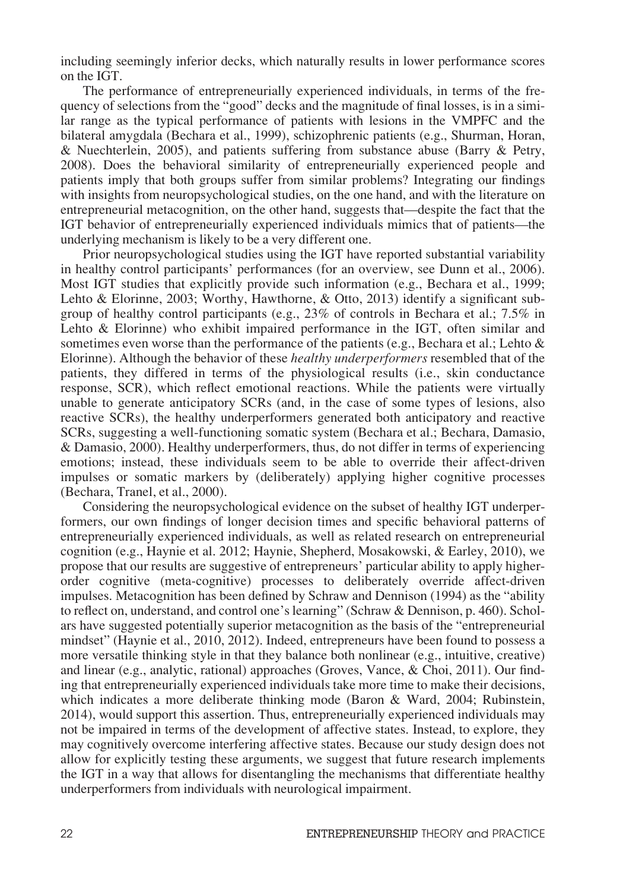including seemingly inferior decks, which naturally results in lower performance scores on the IGT.

The performance of entrepreneurially experienced individuals, in terms of the frequency of selections from the "good" decks and the magnitude of final losses, is in a similar range as the typical performance of patients with lesions in the VMPFC and the bilateral amygdala (Bechara et al., 1999), schizophrenic patients (e.g., Shurman, Horan, & Nuechterlein, 2005), and patients suffering from substance abuse (Barry & Petry, 2008). Does the behavioral similarity of entrepreneurially experienced people and patients imply that both groups suffer from similar problems? Integrating our findings with insights from neuropsychological studies, on the one hand, and with the literature on entrepreneurial metacognition, on the other hand, suggests that—despite the fact that the IGT behavior of entrepreneurially experienced individuals mimics that of patients—the underlying mechanism is likely to be a very different one.

Prior neuropsychological studies using the IGT have reported substantial variability in healthy control participants' performances (for an overview, see Dunn et al., 2006). Most IGT studies that explicitly provide such information (e.g., Bechara et al., 1999; Lehto & Elorinne, 2003; Worthy, Hawthorne, & Otto, 2013) identify a significant subgroup of healthy control participants (e.g., 23% of controls in Bechara et al.; 7.5% in Lehto & Elorinne) who exhibit impaired performance in the IGT, often similar and sometimes even worse than the performance of the patients (e.g., Bechara et al.; Lehto  $\&$ Elorinne). Although the behavior of these healthy underperformers resembled that of the patients, they differed in terms of the physiological results (i.e., skin conductance response, SCR), which reflect emotional reactions. While the patients were virtually unable to generate anticipatory SCRs (and, in the case of some types of lesions, also reactive SCRs), the healthy underperformers generated both anticipatory and reactive SCRs, suggesting a well-functioning somatic system (Bechara et al.; Bechara, Damasio, & Damasio, 2000). Healthy underperformers, thus, do not differ in terms of experiencing emotions; instead, these individuals seem to be able to override their affect-driven impulses or somatic markers by (deliberately) applying higher cognitive processes (Bechara, Tranel, et al., 2000).

Considering the neuropsychological evidence on the subset of healthy IGT underperformers, our own findings of longer decision times and specific behavioral patterns of entrepreneurially experienced individuals, as well as related research on entrepreneurial cognition (e.g., Haynie et al. 2012; Haynie, Shepherd, Mosakowski, & Earley, 2010), we propose that our results are suggestive of entrepreneurs' particular ability to apply higherorder cognitive (meta-cognitive) processes to deliberately override affect-driven impulses. Metacognition has been defined by Schraw and Dennison (1994) as the "ability to reflect on, understand, and control one's learning" (Schraw & Dennison, p. 460). Scholars have suggested potentially superior metacognition as the basis of the "entrepreneurial mindset" (Haynie et al., 2010, 2012). Indeed, entrepreneurs have been found to possess a more versatile thinking style in that they balance both nonlinear (e.g., intuitive, creative) and linear (e.g., analytic, rational) approaches (Groves, Vance, & Choi, 2011). Our finding that entrepreneurially experienced individuals take more time to make their decisions, which indicates a more deliberate thinking mode (Baron & Ward, 2004; Rubinstein, 2014), would support this assertion. Thus, entrepreneurially experienced individuals may not be impaired in terms of the development of affective states. Instead, to explore, they may cognitively overcome interfering affective states. Because our study design does not allow for explicitly testing these arguments, we suggest that future research implements the IGT in a way that allows for disentangling the mechanisms that differentiate healthy underperformers from individuals with neurological impairment.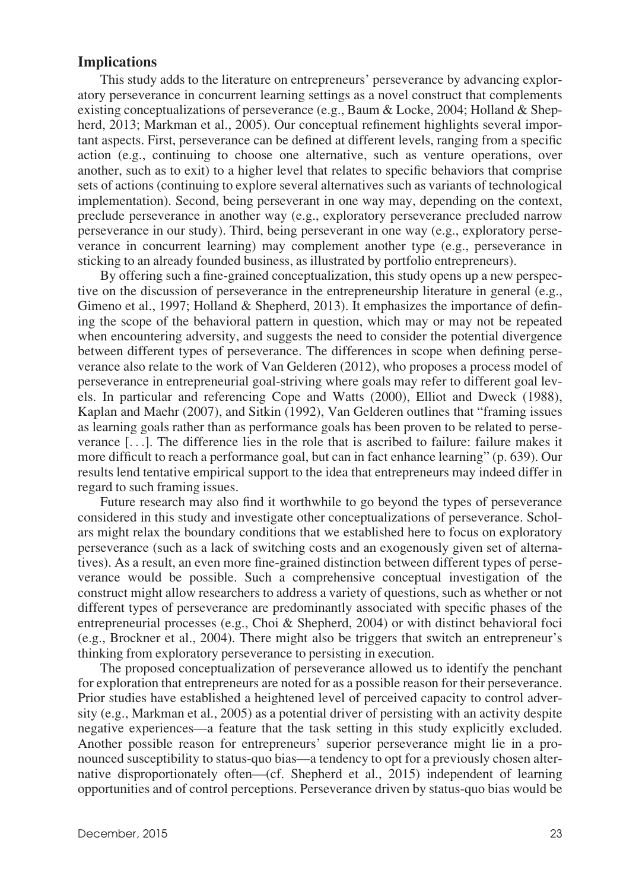# Implications

This study adds to the literature on entrepreneurs' perseverance by advancing exploratory perseverance in concurrent learning settings as a novel construct that complements existing conceptualizations of perseverance (e.g., Baum & Locke, 2004; Holland & Shepherd, 2013; Markman et al., 2005). Our conceptual refinement highlights several important aspects. First, perseverance can be defined at different levels, ranging from a specific action (e.g., continuing to choose one alternative, such as venture operations, over another, such as to exit) to a higher level that relates to specific behaviors that comprise sets of actions (continuing to explore several alternatives such as variants of technological implementation). Second, being perseverant in one way may, depending on the context, preclude perseverance in another way (e.g., exploratory perseverance precluded narrow perseverance in our study). Third, being perseverant in one way (e.g., exploratory perseverance in concurrent learning) may complement another type (e.g., perseverance in sticking to an already founded business, as illustrated by portfolio entrepreneurs).

By offering such a fine-grained conceptualization, this study opens up a new perspective on the discussion of perseverance in the entrepreneurship literature in general (e.g., Gimeno et al., 1997; Holland & Shepherd, 2013). It emphasizes the importance of defining the scope of the behavioral pattern in question, which may or may not be repeated when encountering adversity, and suggests the need to consider the potential divergence between different types of perseverance. The differences in scope when defining perseverance also relate to the work of Van Gelderen (2012), who proposes a process model of perseverance in entrepreneurial goal-striving where goals may refer to different goal levels. In particular and referencing Cope and Watts (2000), Elliot and Dweck (1988), Kaplan and Maehr (2007), and Sitkin (1992), Van Gelderen outlines that "framing issues as learning goals rather than as performance goals has been proven to be related to perseverance [...]. The difference lies in the role that is ascribed to failure: failure makes it more difficult to reach a performance goal, but can in fact enhance learning" (p. 639). Our results lend tentative empirical support to the idea that entrepreneurs may indeed differ in regard to such framing issues.

Future research may also find it worthwhile to go beyond the types of perseverance considered in this study and investigate other conceptualizations of perseverance. Scholars might relax the boundary conditions that we established here to focus on exploratory perseverance (such as a lack of switching costs and an exogenously given set of alternatives). As a result, an even more fine-grained distinction between different types of perseverance would be possible. Such a comprehensive conceptual investigation of the construct might allow researchers to address a variety of questions, such as whether or not different types of perseverance are predominantly associated with specific phases of the entrepreneurial processes (e.g., Choi & Shepherd, 2004) or with distinct behavioral foci (e.g., Brockner et al., 2004). There might also be triggers that switch an entrepreneur's thinking from exploratory perseverance to persisting in execution.

The proposed conceptualization of perseverance allowed us to identify the penchant for exploration that entrepreneurs are noted for as a possible reason for their perseverance. Prior studies have established a heightened level of perceived capacity to control adversity (e.g., Markman et al., 2005) as a potential driver of persisting with an activity despite negative experiences—a feature that the task setting in this study explicitly excluded. Another possible reason for entrepreneurs' superior perseverance might lie in a pronounced susceptibility to status-quo bias—a tendency to opt for a previously chosen alternative disproportionately often—(cf. Shepherd et al., 2015) independent of learning opportunities and of control perceptions. Perseverance driven by status-quo bias would be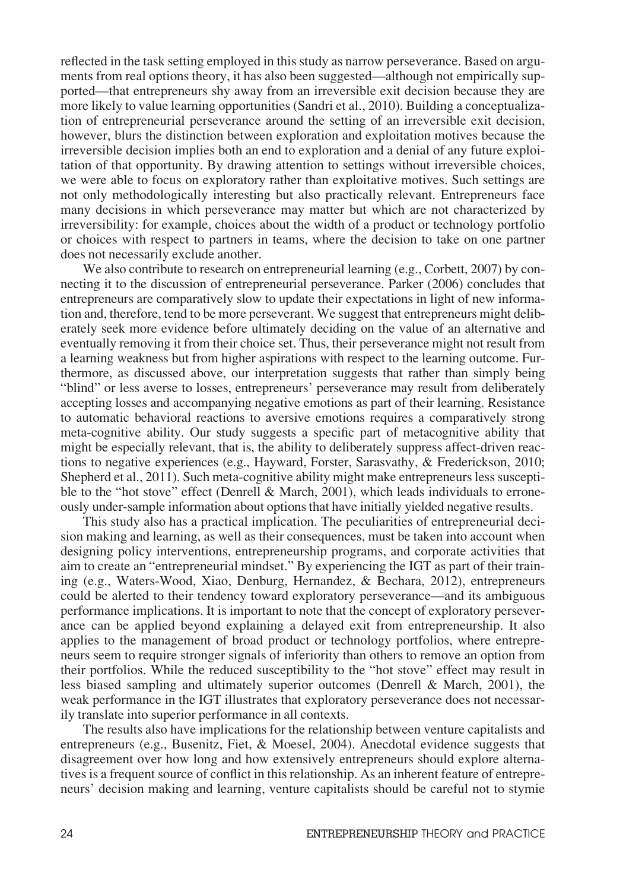reflected in the task setting employed in this study as narrow perseverance. Based on arguments from real options theory, it has also been suggested—although not empirically supported—that entrepreneurs shy away from an irreversible exit decision because they are more likely to value learning opportunities (Sandri et al., 2010). Building a conceptualization of entrepreneurial perseverance around the setting of an irreversible exit decision, however, blurs the distinction between exploration and exploitation motives because the irreversible decision implies both an end to exploration and a denial of any future exploitation of that opportunity. By drawing attention to settings without irreversible choices, we were able to focus on exploratory rather than exploitative motives. Such settings are not only methodologically interesting but also practically relevant. Entrepreneurs face many decisions in which perseverance may matter but which are not characterized by irreversibility: for example, choices about the width of a product or technology portfolio or choices with respect to partners in teams, where the decision to take on one partner does not necessarily exclude another.

We also contribute to research on entrepreneurial learning (e.g., Corbett, 2007) by connecting it to the discussion of entrepreneurial perseverance. Parker (2006) concludes that entrepreneurs are comparatively slow to update their expectations in light of new information and, therefore, tend to be more perseverant. We suggest that entrepreneurs might deliberately seek more evidence before ultimately deciding on the value of an alternative and eventually removing it from their choice set. Thus, their perseverance might not result from a learning weakness but from higher aspirations with respect to the learning outcome. Furthermore, as discussed above, our interpretation suggests that rather than simply being "blind" or less averse to losses, entrepreneurs' perseverance may result from deliberately accepting losses and accompanying negative emotions as part of their learning. Resistance to automatic behavioral reactions to aversive emotions requires a comparatively strong meta-cognitive ability. Our study suggests a specific part of metacognitive ability that might be especially relevant, that is, the ability to deliberately suppress affect-driven reactions to negative experiences (e.g., Hayward, Forster, Sarasvathy, & Frederickson, 2010; Shepherd et al., 2011). Such meta-cognitive ability might make entrepreneurs less susceptible to the "hot stove" effect (Denrell & March, 2001), which leads individuals to erroneously under-sample information about options that have initially yielded negative results.

This study also has a practical implication. The peculiarities of entrepreneurial decision making and learning, as well as their consequences, must be taken into account when designing policy interventions, entrepreneurship programs, and corporate activities that aim to create an "entrepreneurial mindset." By experiencing the IGT as part of their training (e.g., Waters-Wood, Xiao, Denburg, Hernandez, & Bechara, 2012), entrepreneurs could be alerted to their tendency toward exploratory perseverance—and its ambiguous performance implications. It is important to note that the concept of exploratory perseverance can be applied beyond explaining a delayed exit from entrepreneurship. It also applies to the management of broad product or technology portfolios, where entrepreneurs seem to require stronger signals of inferiority than others to remove an option from their portfolios. While the reduced susceptibility to the "hot stove" effect may result in less biased sampling and ultimately superior outcomes (Denrell & March, 2001), the weak performance in the IGT illustrates that exploratory perseverance does not necessarily translate into superior performance in all contexts.

The results also have implications for the relationship between venture capitalists and entrepreneurs (e.g., Busenitz, Fiet, & Moesel, 2004). Anecdotal evidence suggests that disagreement over how long and how extensively entrepreneurs should explore alternatives is a frequent source of conflict in this relationship. As an inherent feature of entrepreneurs' decision making and learning, venture capitalists should be careful not to stymie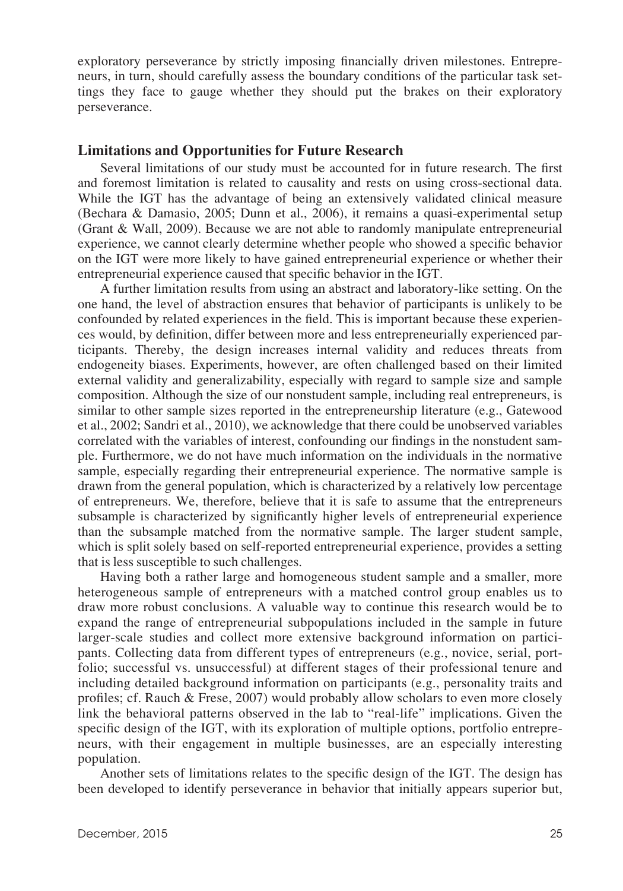exploratory perseverance by strictly imposing financially driven milestones. Entrepreneurs, in turn, should carefully assess the boundary conditions of the particular task settings they face to gauge whether they should put the brakes on their exploratory perseverance.

### Limitations and Opportunities for Future Research

Several limitations of our study must be accounted for in future research. The first and foremost limitation is related to causality and rests on using cross-sectional data. While the IGT has the advantage of being an extensively validated clinical measure (Bechara & Damasio, 2005; Dunn et al., 2006), it remains a quasi-experimental setup (Grant & Wall, 2009). Because we are not able to randomly manipulate entrepreneurial experience, we cannot clearly determine whether people who showed a specific behavior on the IGT were more likely to have gained entrepreneurial experience or whether their entrepreneurial experience caused that specific behavior in the IGT.

A further limitation results from using an abstract and laboratory-like setting. On the one hand, the level of abstraction ensures that behavior of participants is unlikely to be confounded by related experiences in the field. This is important because these experiences would, by definition, differ between more and less entrepreneurially experienced participants. Thereby, the design increases internal validity and reduces threats from endogeneity biases. Experiments, however, are often challenged based on their limited external validity and generalizability, especially with regard to sample size and sample composition. Although the size of our nonstudent sample, including real entrepreneurs, is similar to other sample sizes reported in the entrepreneurship literature (e.g., Gatewood et al., 2002; Sandri et al., 2010), we acknowledge that there could be unobserved variables correlated with the variables of interest, confounding our findings in the nonstudent sample. Furthermore, we do not have much information on the individuals in the normative sample, especially regarding their entrepreneurial experience. The normative sample is drawn from the general population, which is characterized by a relatively low percentage of entrepreneurs. We, therefore, believe that it is safe to assume that the entrepreneurs subsample is characterized by significantly higher levels of entrepreneurial experience than the subsample matched from the normative sample. The larger student sample, which is split solely based on self-reported entrepreneurial experience, provides a setting that is less susceptible to such challenges.

Having both a rather large and homogeneous student sample and a smaller, more heterogeneous sample of entrepreneurs with a matched control group enables us to draw more robust conclusions. A valuable way to continue this research would be to expand the range of entrepreneurial subpopulations included in the sample in future larger-scale studies and collect more extensive background information on participants. Collecting data from different types of entrepreneurs (e.g., novice, serial, portfolio; successful vs. unsuccessful) at different stages of their professional tenure and including detailed background information on participants (e.g., personality traits and profiles; cf. Rauch & Frese, 2007) would probably allow scholars to even more closely link the behavioral patterns observed in the lab to "real-life" implications. Given the specific design of the IGT, with its exploration of multiple options, portfolio entrepreneurs, with their engagement in multiple businesses, are an especially interesting population.

Another sets of limitations relates to the specific design of the IGT. The design has been developed to identify perseverance in behavior that initially appears superior but,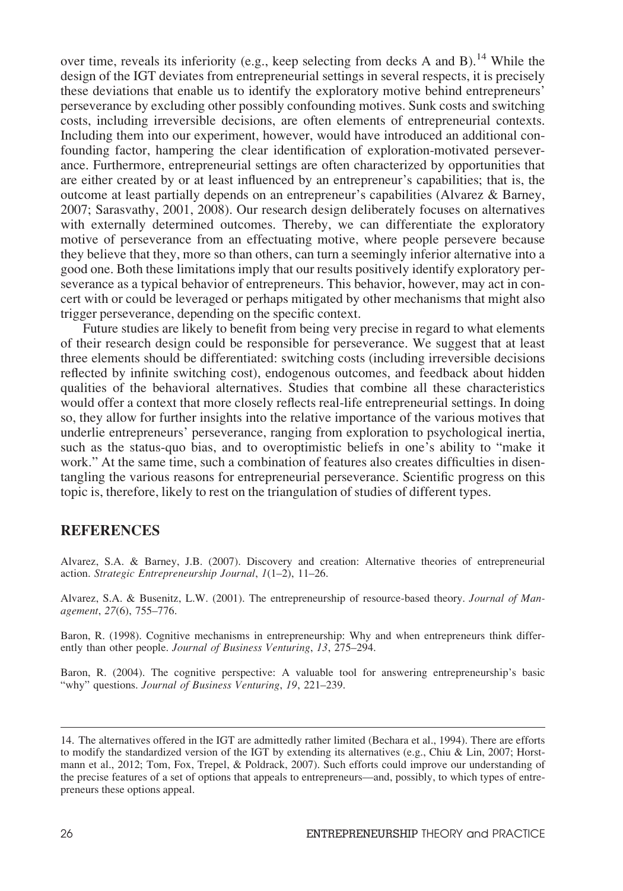over time, reveals its inferiority (e.g., keep selecting from decks A and B).<sup>14</sup> While the design of the IGT deviates from entrepreneurial settings in several respects, it is precisely these deviations that enable us to identify the exploratory motive behind entrepreneurs' perseverance by excluding other possibly confounding motives. Sunk costs and switching costs, including irreversible decisions, are often elements of entrepreneurial contexts. Including them into our experiment, however, would have introduced an additional confounding factor, hampering the clear identification of exploration-motivated perseverance. Furthermore, entrepreneurial settings are often characterized by opportunities that are either created by or at least influenced by an entrepreneur's capabilities; that is, the outcome at least partially depends on an entrepreneur's capabilities (Alvarez & Barney, 2007; Sarasvathy, 2001, 2008). Our research design deliberately focuses on alternatives with externally determined outcomes. Thereby, we can differentiate the exploratory motive of perseverance from an effectuating motive, where people persevere because they believe that they, more so than others, can turn a seemingly inferior alternative into a good one. Both these limitations imply that our results positively identify exploratory perseverance as a typical behavior of entrepreneurs. This behavior, however, may act in concert with or could be leveraged or perhaps mitigated by other mechanisms that might also trigger perseverance, depending on the specific context.

Future studies are likely to benefit from being very precise in regard to what elements of their research design could be responsible for perseverance. We suggest that at least three elements should be differentiated: switching costs (including irreversible decisions reflected by infinite switching cost), endogenous outcomes, and feedback about hidden qualities of the behavioral alternatives. Studies that combine all these characteristics would offer a context that more closely reflects real-life entrepreneurial settings. In doing so, they allow for further insights into the relative importance of the various motives that underlie entrepreneurs' perseverance, ranging from exploration to psychological inertia, such as the status-quo bias, and to overoptimistic beliefs in one's ability to "make it work." At the same time, such a combination of features also creates difficulties in disentangling the various reasons for entrepreneurial perseverance. Scientific progress on this topic is, therefore, likely to rest on the triangulation of studies of different types.

# REFERENCES

Alvarez, S.A. & Barney, J.B. (2007). Discovery and creation: Alternative theories of entrepreneurial action. Strategic Entrepreneurship Journal, 1(1–2), 11–26.

Alvarez, S.A. & Busenitz, L.W. (2001). The entrepreneurship of resource-based theory. Journal of Management, 27(6), 755–776.

Baron, R. (1998). Cognitive mechanisms in entrepreneurship: Why and when entrepreneurs think differently than other people. Journal of Business Venturing, 13, 275–294.

Baron, R. (2004). The cognitive perspective: A valuable tool for answering entrepreneurship's basic "why" questions. Journal of Business Venturing, 19, 221-239.

<sup>14.</sup> The alternatives offered in the IGT are admittedly rather limited (Bechara et al., 1994). There are efforts to modify the standardized version of the IGT by extending its alternatives (e.g., Chiu & Lin, 2007; Horstmann et al., 2012; Tom, Fox, Trepel, & Poldrack, 2007). Such efforts could improve our understanding of the precise features of a set of options that appeals to entrepreneurs—and, possibly, to which types of entrepreneurs these options appeal.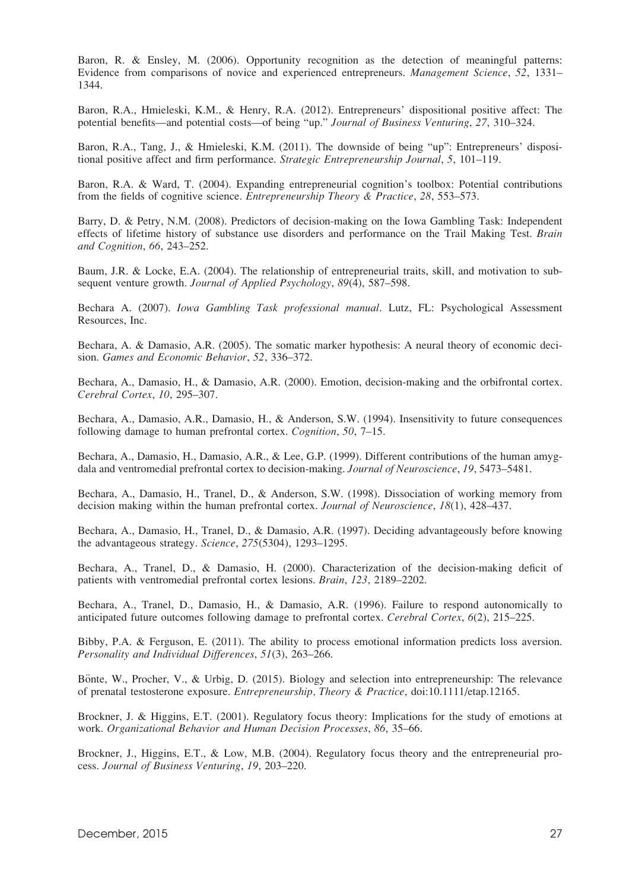Baron, R. & Ensley, M. (2006). Opportunity recognition as the detection of meaningful patterns: Evidence from comparisons of novice and experienced entrepreneurs. Management Science, 52, 1331– 1344.

Baron, R.A., Hmieleski, K.M., & Henry, R.A. (2012). Entrepreneurs' dispositional positive affect: The potential benefits—and potential costs—of being "up." Journal of Business Venturing, 27, 310–324.

Baron, R.A., Tang, J., & Hmieleski, K.M. (2011). The downside of being "up": Entrepreneurs' dispositional positive affect and firm performance. Strategic Entrepreneurship Journal, 5, 101–119.

Baron, R.A. & Ward, T. (2004). Expanding entrepreneurial cognition's toolbox: Potential contributions from the fields of cognitive science. Entrepreneurship Theory & Practice, 28, 553–573.

Barry, D. & Petry, N.M. (2008). Predictors of decision-making on the Iowa Gambling Task: Independent effects of lifetime history of substance use disorders and performance on the Trail Making Test. Brain and Cognition, 66, 243–252.

Baum, J.R. & Locke, E.A. (2004). The relationship of entrepreneurial traits, skill, and motivation to subsequent venture growth. Journal of Applied Psychology, 89(4), 587–598.

Bechara A. (2007). Iowa Gambling Task professional manual. Lutz, FL: Psychological Assessment Resources, Inc.

Bechara, A. & Damasio, A.R. (2005). The somatic marker hypothesis: A neural theory of economic decision. Games and Economic Behavior, 52, 336–372.

Bechara, A., Damasio, H., & Damasio, A.R. (2000). Emotion, decision-making and the orbifrontal cortex. Cerebral Cortex, 10, 295–307.

Bechara, A., Damasio, A.R., Damasio, H., & Anderson, S.W. (1994). Insensitivity to future consequences following damage to human prefrontal cortex. Cognition, 50, 7-15.

Bechara, A., Damasio, H., Damasio, A.R., & Lee, G.P. (1999). Different contributions of the human amygdala and ventromedial prefrontal cortex to decision-making. Journal of Neuroscience, 19, 5473–5481.

Bechara, A., Damasio, H., Tranel, D., & Anderson, S.W. (1998). Dissociation of working memory from decision making within the human prefrontal cortex. Journal of Neuroscience, 18(1), 428-437.

Bechara, A., Damasio, H., Tranel, D., & Damasio, A.R. (1997). Deciding advantageously before knowing the advantageous strategy. Science, 275(5304), 1293–1295.

Bechara, A., Tranel, D., & Damasio, H. (2000). Characterization of the decision-making deficit of patients with ventromedial prefrontal cortex lesions. Brain, 123, 2189–2202.

Bechara, A., Tranel, D., Damasio, H., & Damasio, A.R. (1996). Failure to respond autonomically to anticipated future outcomes following damage to prefrontal cortex. Cerebral Cortex, 6(2), 215–225.

Bibby, P.A. & Ferguson, E. (2011). The ability to process emotional information predicts loss aversion. Personality and Individual Differences, 51(3), 263–266.

Bönte, W., Procher, V., & Urbig, D. (2015). Biology and selection into entrepreneurship: The relevance of prenatal testosterone exposure. Entrepreneurship, Theory & Practice, doi:[10.1111/etap.12165](info:doi/10.1111/etap.12165).

Brockner, J. & Higgins, E.T. (2001). Regulatory focus theory: Implications for the study of emotions at work. Organizational Behavior and Human Decision Processes, 86, 35–66.

Brockner, J., Higgins, E.T., & Low, M.B. (2004). Regulatory focus theory and the entrepreneurial process. Journal of Business Venturing, 19, 203–220.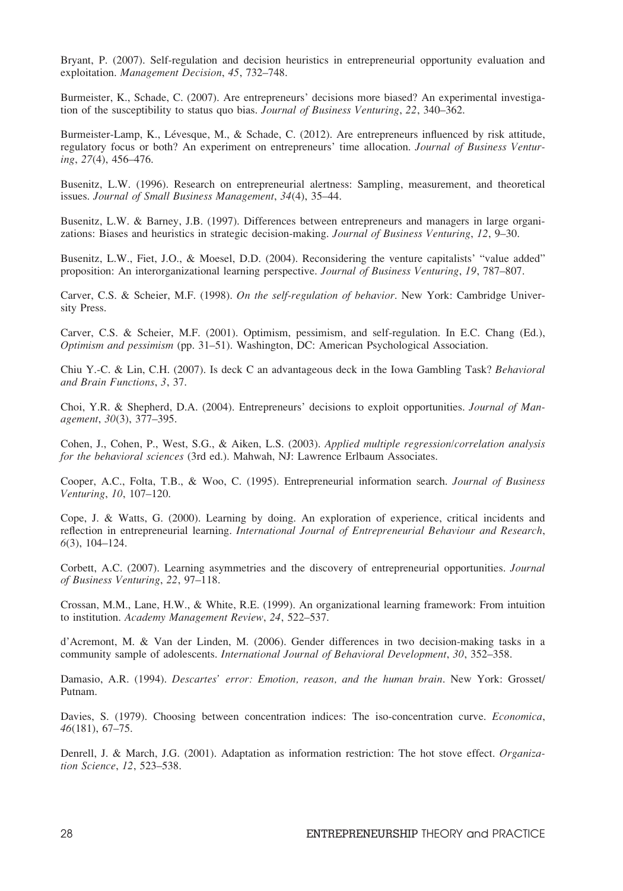Bryant, P. (2007). Self-regulation and decision heuristics in entrepreneurial opportunity evaluation and exploitation. Management Decision, 45, 732–748.

Burmeister, K., Schade, C. (2007). Are entrepreneurs' decisions more biased? An experimental investigation of the susceptibility to status quo bias. Journal of Business Venturing, 22, 340–362.

Burmeister-Lamp, K., Lévesque, M., & Schade, C. (2012). Are entrepreneurs influenced by risk attitude, regulatory focus or both? An experiment on entrepreneurs' time allocation. Journal of Business Venturing, 27(4), 456–476.

Busenitz, L.W. (1996). Research on entrepreneurial alertness: Sampling, measurement, and theoretical issues. Journal of Small Business Management, 34(4), 35–44.

Busenitz, L.W. & Barney, J.B. (1997). Differences between entrepreneurs and managers in large organizations: Biases and heuristics in strategic decision-making. Journal of Business Venturing, 12, 9–30.

Busenitz, L.W., Fiet, J.O., & Moesel, D.D. (2004). Reconsidering the venture capitalists' "value added" proposition: An interorganizational learning perspective. Journal of Business Venturing, 19, 787–807.

Carver, C.S. & Scheier, M.F. (1998). On the self-regulation of behavior. New York: Cambridge University Press.

Carver, C.S. & Scheier, M.F. (2001). Optimism, pessimism, and self-regulation. In E.C. Chang (Ed.), Optimism and pessimism (pp. 31–51). Washington, DC: American Psychological Association.

Chiu Y.-C. & Lin, C.H. (2007). Is deck C an advantageous deck in the Iowa Gambling Task? Behavioral and Brain Functions, 3, 37.

Choi, Y.R. & Shepherd, D.A. (2004). Entrepreneurs' decisions to exploit opportunities. Journal of Management, 30(3), 377–395.

Cohen, J., Cohen, P., West, S.G., & Aiken, L.S. (2003). Applied multiple regression/correlation analysis for the behavioral sciences (3rd ed.). Mahwah, NJ: Lawrence Erlbaum Associates.

Cooper, A.C., Folta, T.B., & Woo, C. (1995). Entrepreneurial information search. Journal of Business Venturing, 10, 107–120.

Cope, J. & Watts, G. (2000). Learning by doing. An exploration of experience, critical incidents and reflection in entrepreneurial learning. International Journal of Entrepreneurial Behaviour and Research, 6(3), 104–124.

Corbett, A.C. (2007). Learning asymmetries and the discovery of entrepreneurial opportunities. Journal of Business Venturing, 22, 97–118.

Crossan, M.M., Lane, H.W., & White, R.E. (1999). An organizational learning framework: From intuition to institution. Academy Management Review, 24, 522–537.

d'Acremont, M. & Van der Linden, M. (2006). Gender differences in two decision-making tasks in a community sample of adolescents. International Journal of Behavioral Development, 30, 352-358.

Damasio, A.R. (1994). *Descartes' error: Emotion, reason, and the human brain.* New York: Grosset/ Putnam.

Davies, S. (1979). Choosing between concentration indices: The iso-concentration curve. Economica, 46(181), 67–75.

Denrell, J. & March, J.G. (2001). Adaptation as information restriction: The hot stove effect. Organization Science, 12, 523–538.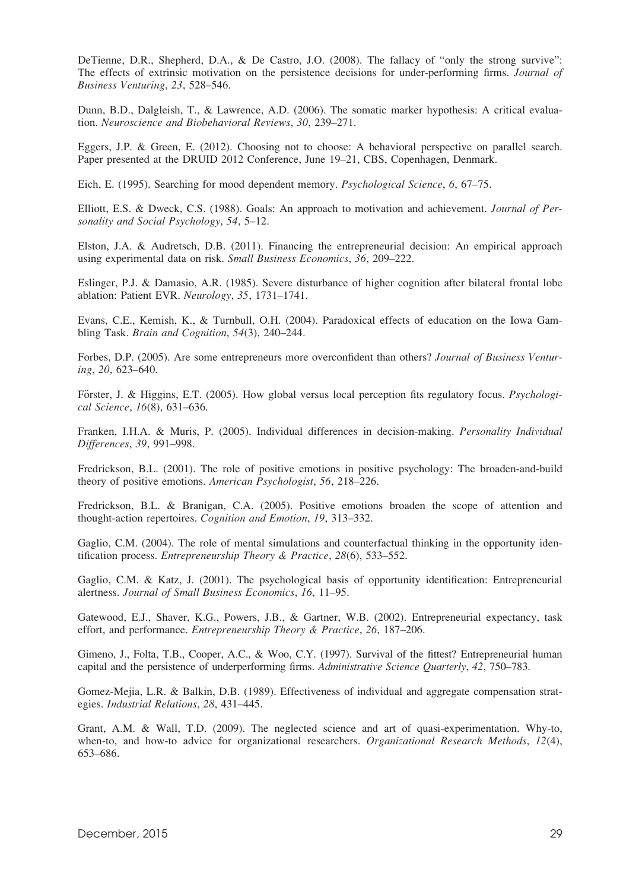DeTienne, D.R., Shepherd, D.A., & De Castro, J.O. (2008). The fallacy of "only the strong survive": The effects of extrinsic motivation on the persistence decisions for under-performing firms. Journal of Business Venturing, 23, 528–546.

Dunn, B.D., Dalgleish, T., & Lawrence, A.D. (2006). The somatic marker hypothesis: A critical evaluation. Neuroscience and Biobehavioral Reviews, 30, 239–271.

Eggers, J.P. & Green, E. (2012). Choosing not to choose: A behavioral perspective on parallel search. Paper presented at the DRUID 2012 Conference, June 19–21, CBS, Copenhagen, Denmark.

Eich, E. (1995). Searching for mood dependent memory. Psychological Science, 6, 67–75.

Elliott, E.S. & Dweck, C.S. (1988). Goals: An approach to motivation and achievement. Journal of Personality and Social Psychology, 54, 5–12.

Elston, J.A. & Audretsch, D.B. (2011). Financing the entrepreneurial decision: An empirical approach using experimental data on risk. Small Business Economics, 36, 209–222.

Eslinger, P.J. & Damasio, A.R. (1985). Severe disturbance of higher cognition after bilateral frontal lobe ablation: Patient EVR. Neurology, 35, 1731–1741.

Evans, C.E., Kemish, K., & Turnbull, O.H. (2004). Paradoxical effects of education on the Iowa Gambling Task. Brain and Cognition, 54(3), 240–244.

Forbes, D.P. (2005). Are some entrepreneurs more overconfident than others? Journal of Business Venturing, 20, 623–640.

Förster, J. & Higgins, E.T. (2005). How global versus local perception fits regulatory focus. *Psychologi*cal Science, 16(8), 631–636.

Franken, I.H.A. & Muris, P. (2005). Individual differences in decision-making. Personality Individual Differences, 39, 991–998.

Fredrickson, B.L. (2001). The role of positive emotions in positive psychology: The broaden-and-build theory of positive emotions. American Psychologist, 56, 218–226.

Fredrickson, B.L. & Branigan, C.A. (2005). Positive emotions broaden the scope of attention and thought-action repertoires. Cognition and Emotion, 19, 313–332.

Gaglio, C.M. (2004). The role of mental simulations and counterfactual thinking in the opportunity identification process. Entrepreneurship Theory & Practice, 28(6), 533–552.

Gaglio, C.M. & Katz, J. (2001). The psychological basis of opportunity identification: Entrepreneurial alertness. Journal of Small Business Economics, 16, 11–95.

Gatewood, E.J., Shaver, K.G., Powers, J.B., & Gartner, W.B. (2002). Entrepreneurial expectancy, task effort, and performance. Entrepreneurship Theory & Practice, 26, 187–206.

Gimeno, J., Folta, T.B., Cooper, A.C., & Woo, C.Y. (1997). Survival of the fittest? Entrepreneurial human capital and the persistence of underperforming firms. Administrative Science Quarterly, 42, 750–783.

Gomez-Mejia, L.R. & Balkin, D.B. (1989). Effectiveness of individual and aggregate compensation strategies. Industrial Relations, 28, 431–445.

Grant, A.M. & Wall, T.D. (2009). The neglected science and art of quasi-experimentation. Why-to, when-to, and how-to advice for organizational researchers. Organizational Research Methods, 12(4), 653–686.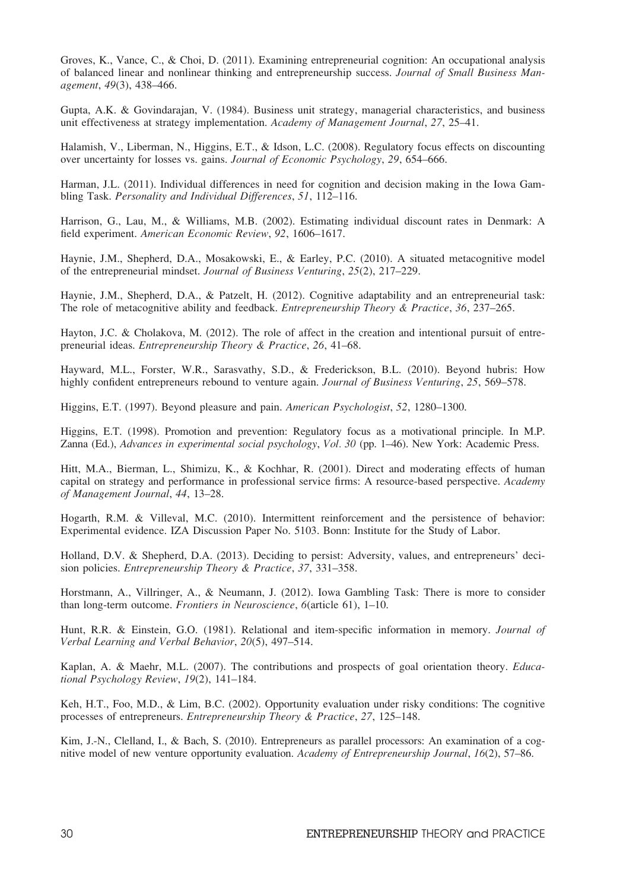Groves, K., Vance, C., & Choi, D. (2011). Examining entrepreneurial cognition: An occupational analysis of balanced linear and nonlinear thinking and entrepreneurship success. Journal of Small Business Management, 49(3), 438–466.

Gupta, A.K. & Govindarajan, V. (1984). Business unit strategy, managerial characteristics, and business unit effectiveness at strategy implementation. Academy of Management Journal, 27, 25–41.

Halamish, V., Liberman, N., Higgins, E.T., & Idson, L.C. (2008). Regulatory focus effects on discounting over uncertainty for losses vs. gains. Journal of Economic Psychology, 29, 654–666.

Harman, J.L. (2011). Individual differences in need for cognition and decision making in the Iowa Gambling Task. Personality and Individual Differences, 51, 112–116.

Harrison, G., Lau, M., & Williams, M.B. (2002). Estimating individual discount rates in Denmark: A field experiment. American Economic Review, 92, 1606–1617.

Haynie, J.M., Shepherd, D.A., Mosakowski, E., & Earley, P.C. (2010). A situated metacognitive model of the entrepreneurial mindset. Journal of Business Venturing, 25(2), 217–229.

Haynie, J.M., Shepherd, D.A., & Patzelt, H. (2012). Cognitive adaptability and an entrepreneurial task: The role of metacognitive ability and feedback. *Entrepreneurship Theory & Practice*, 36, 237–265.

Hayton, J.C. & Cholakova, M. (2012). The role of affect in the creation and intentional pursuit of entrepreneurial ideas. Entrepreneurship Theory & Practice, 26, 41–68.

Hayward, M.L., Forster, W.R., Sarasvathy, S.D., & Frederickson, B.L. (2010). Beyond hubris: How highly confident entrepreneurs rebound to venture again. Journal of Business Venturing, 25, 569–578.

Higgins, E.T. (1997). Beyond pleasure and pain. American Psychologist, 52, 1280–1300.

Higgins, E.T. (1998). Promotion and prevention: Regulatory focus as a motivational principle. In M.P. Zanna (Ed.), Advances in experimental social psychology, Vol. 30 (pp. 1–46). New York: Academic Press.

Hitt, M.A., Bierman, L., Shimizu, K., & Kochhar, R. (2001). Direct and moderating effects of human capital on strategy and performance in professional service firms: A resource-based perspective. Academy of Management Journal, 44, 13–28.

Hogarth, R.M. & Villeval, M.C. (2010). Intermittent reinforcement and the persistence of behavior: Experimental evidence. IZA Discussion Paper No. 5103. Bonn: Institute for the Study of Labor.

Holland, D.V. & Shepherd, D.A. (2013). Deciding to persist: Adversity, values, and entrepreneurs' decision policies. Entrepreneurship Theory & Practice, 37, 331–358.

Horstmann, A., Villringer, A., & Neumann, J. (2012). Iowa Gambling Task: There is more to consider than long-term outcome. Frontiers in Neuroscience, 6(article 61), 1–10.

Hunt, R.R. & Einstein, G.O. (1981). Relational and item-specific information in memory. Journal of Verbal Learning and Verbal Behavior, 20(5), 497–514.

Kaplan, A. & Maehr, M.L. (2007). The contributions and prospects of goal orientation theory. Educational Psychology Review, 19(2), 141–184.

Keh, H.T., Foo, M.D., & Lim, B.C. (2002). Opportunity evaluation under risky conditions: The cognitive processes of entrepreneurs. Entrepreneurship Theory & Practice, 27, 125–148.

Kim, J.-N., Clelland, I., & Bach, S. (2010). Entrepreneurs as parallel processors: An examination of a cognitive model of new venture opportunity evaluation. Academy of Entrepreneurship Journal, 16(2), 57–86.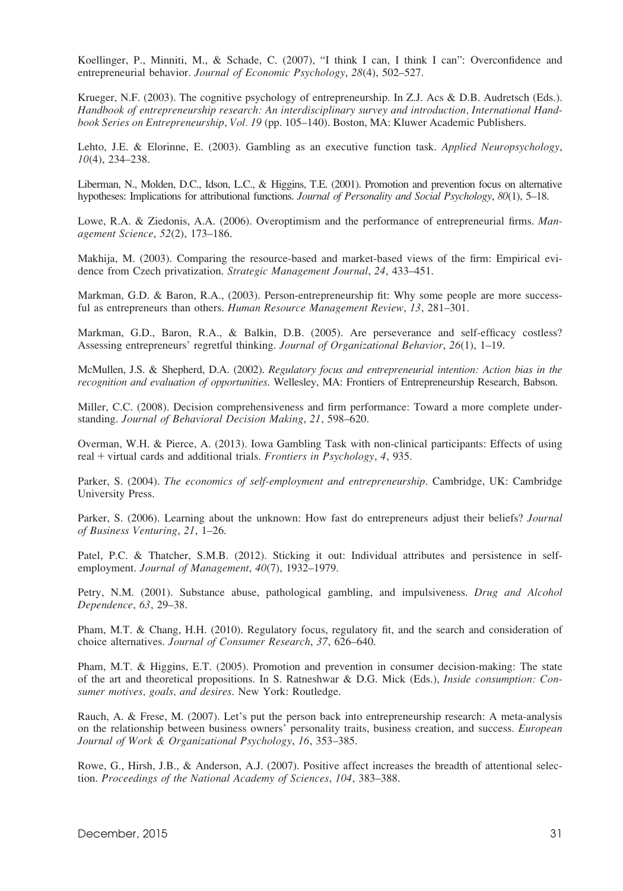Koellinger, P., Minniti, M., & Schade, C. (2007), "I think I can, I think I can": Overconfidence and entrepreneurial behavior. Journal of Economic Psychology, 28(4), 502–527.

Krueger, N.F. (2003). The cognitive psychology of entrepreneurship. In Z.J. Acs & D.B. Audretsch (Eds.). Handbook of entrepreneurship research: An interdisciplinary survey and introduction, International Handbook Series on Entrepreneurship, Vol. 19 (pp. 105–140). Boston, MA: Kluwer Academic Publishers.

Lehto, J.E. & Elorinne, E. (2003). Gambling as an executive function task. Applied Neuropsychology, 10(4), 234–238.

Liberman, N., Molden, D.C., Idson, L.C., & Higgins, T.E. (2001). Promotion and prevention focus on alternative hypotheses: Implications for attributional functions. Journal of Personality and Social Psychology, 80(1), 5–18.

Lowe, R.A. & Ziedonis, A.A. (2006). Overoptimism and the performance of entrepreneurial firms. Management Science, 52(2), 173–186.

Makhija, M. (2003). Comparing the resource-based and market-based views of the firm: Empirical evidence from Czech privatization. Strategic Management Journal, 24, 433–451.

Markman, G.D. & Baron, R.A., (2003). Person-entrepreneurship fit: Why some people are more successful as entrepreneurs than others. Human Resource Management Review, 13, 281–301.

Markman, G.D., Baron, R.A., & Balkin, D.B. (2005). Are perseverance and self-efficacy costless? Assessing entrepreneurs' regretful thinking. Journal of Organizational Behavior, 26(1), 1–19.

McMullen, J.S. & Shepherd, D.A. (2002). Regulatory focus and entrepreneurial intention: Action bias in the recognition and evaluation of opportunities. Wellesley, MA: Frontiers of Entrepreneurship Research, Babson.

Miller, C.C. (2008). Decision comprehensiveness and firm performance: Toward a more complete understanding. Journal of Behavioral Decision Making, 21, 598–620.

Overman, W.H. & Pierce, A. (2013). Iowa Gambling Task with non-clinical participants: Effects of using real  $+$  virtual cards and additional trials. Frontiers in Psychology, 4, 935.

Parker, S. (2004). The economics of self-employment and entrepreneurship. Cambridge, UK: Cambridge University Press.

Parker, S. (2006). Learning about the unknown: How fast do entrepreneurs adjust their beliefs? Journal of Business Venturing, 21, 1–26.

Patel, P.C. & Thatcher, S.M.B. (2012). Sticking it out: Individual attributes and persistence in selfemployment. Journal of Management, 40(7), 1932–1979.

Petry, N.M. (2001). Substance abuse, pathological gambling, and impulsiveness. Drug and Alcohol Dependence, 63, 29–38.

Pham, M.T. & Chang, H.H. (2010). Regulatory focus, regulatory fit, and the search and consideration of choice alternatives. Journal of Consumer Research, 37, 626–640.

Pham, M.T. & Higgins, E.T. (2005). Promotion and prevention in consumer decision-making: The state of the art and theoretical propositions. In S. Ratneshwar & D.G. Mick (Eds.), Inside consumption: Consumer motives, goals, and desires. New York: Routledge.

Rauch, A. & Frese, M. (2007). Let's put the person back into entrepreneurship research: A meta-analysis on the relationship between business owners' personality traits, business creation, and success. European Journal of Work & Organizational Psychology, 16, 353–385.

Rowe, G., Hirsh, J.B., & Anderson, A.J. (2007). Positive affect increases the breadth of attentional selection. Proceedings of the National Academy of Sciences, 104, 383–388.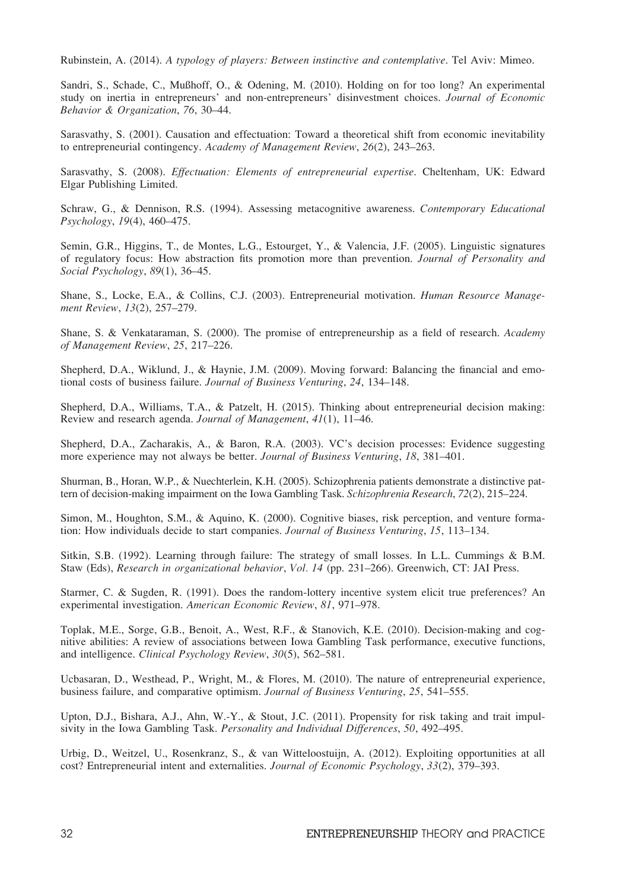Rubinstein, A. (2014). A typology of players: Between instinctive and contemplative. Tel Aviv: Mimeo.

Sandri, S., Schade, C., Mußhoff, O., & Odening, M. (2010). Holding on for too long? An experimental study on inertia in entrepreneurs' and non-entrepreneurs' disinvestment choices. Journal of Economic Behavior & Organization, 76, 30–44.

Sarasvathy, S. (2001). Causation and effectuation: Toward a theoretical shift from economic inevitability to entrepreneurial contingency. Academy of Management Review, 26(2), 243–263.

Sarasvathy, S. (2008). Effectuation: Elements of entrepreneurial expertise. Cheltenham, UK: Edward Elgar Publishing Limited.

Schraw, G., & Dennison, R.S. (1994). Assessing metacognitive awareness. Contemporary Educational Psychology, 19(4), 460–475.

Semin, G.R., Higgins, T., de Montes, L.G., Estourget, Y., & Valencia, J.F. (2005). Linguistic signatures of regulatory focus: How abstraction fits promotion more than prevention. Journal of Personality and Social Psychology, 89(1), 36–45.

Shane, S., Locke, E.A., & Collins, C.J. (2003). Entrepreneurial motivation. Human Resource Management Review, 13(2), 257–279.

Shane, S. & Venkataraman, S. (2000). The promise of entrepreneurship as a field of research. Academy of Management Review, 25, 217–226.

Shepherd, D.A., Wiklund, J., & Haynie, J.M. (2009). Moving forward: Balancing the financial and emotional costs of business failure. Journal of Business Venturing, 24, 134–148.

Shepherd, D.A., Williams, T.A., & Patzelt, H. (2015). Thinking about entrepreneurial decision making: Review and research agenda. Journal of Management, 41(1), 11–46.

Shepherd, D.A., Zacharakis, A., & Baron, R.A. (2003). VC's decision processes: Evidence suggesting more experience may not always be better. Journal of Business Venturing, 18, 381–401.

Shurman, B., Horan, W.P., & Nuechterlein, K.H. (2005). Schizophrenia patients demonstrate a distinctive pattern of decision-making impairment on the Iowa Gambling Task. Schizophrenia Research, 72(2), 215–224.

Simon, M., Houghton, S.M., & Aquino, K. (2000). Cognitive biases, risk perception, and venture formation: How individuals decide to start companies. Journal of Business Venturing, 15, 113–134.

Sitkin, S.B. (1992). Learning through failure: The strategy of small losses. In L.L. Cummings & B.M. Staw (Eds), Research in organizational behavior, Vol. 14 (pp. 231–266). Greenwich, CT: JAI Press.

Starmer, C. & Sugden, R. (1991). Does the random-lottery incentive system elicit true preferences? An experimental investigation. American Economic Review, 81, 971–978.

Toplak, M.E., Sorge, G.B., Benoit, A., West, R.F., & Stanovich, K.E. (2010). Decision-making and cognitive abilities: A review of associations between Iowa Gambling Task performance, executive functions, and intelligence. Clinical Psychology Review, 30(5), 562–581.

Ucbasaran, D., Westhead, P., Wright, M., & Flores, M. (2010). The nature of entrepreneurial experience, business failure, and comparative optimism. Journal of Business Venturing, 25, 541–555.

Upton, D.J., Bishara, A.J., Ahn, W.-Y., & Stout, J.C. (2011). Propensity for risk taking and trait impulsivity in the Iowa Gambling Task. Personality and Individual Differences, 50, 492-495.

Urbig, D., Weitzel, U., Rosenkranz, S., & van Witteloostuijn, A. (2012). Exploiting opportunities at all cost? Entrepreneurial intent and externalities. Journal of Economic Psychology, 33(2), 379–393.